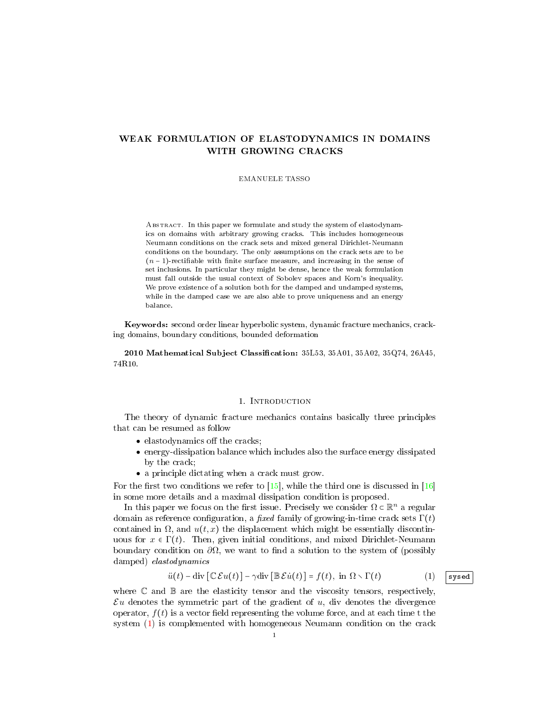# WEAK FORMULATION OF ELASTODYNAMICS IN DOMAINS WITH GROWING CRACKS

### EMANUELE TASSO

ABSTRACT. In this paper we formulate and study the system of elastodynamics on domains with arbitrary growing cracks. This includes homogeneous Neumann conditions on the crack sets and mixed general Dirichlet-Neumann conditions on the boundary. The only assumptions on the crack sets are to be  $(n-1)$ -rectifiable with finite surface measure, and increasing in the sense of set inclusions. In particular they might be dense, hence the weak formulation must fall outside the usual context of Sobolev spaces and Korn's inequality. We prove existence of a solution both for the damped and undamped systems, while in the damped case we are also able to prove uniqueness and an energy balance.

Keywords: second order linear hyperbolic system, dynamic fracture mechanics, cracking domains, boundary conditions, bounded deformation

2010 Mathematical Subject Classification:  $35L53$ ,  $35A01$ ,  $35A02$ ,  $35Q74$ ,  $26A45$ , 74R10.

## 1. INTRODUCTION

The theory of dynamic fracture mechanics contains basically three principles that can be resumed as follow

- $\bullet$  elastodynamics off the cracks;
- energy-dissipation balance which includes also the surface energy dissipated by the crack;
- a principle dictating when a crack must grow.

For the first two conditions we refer to  $[15]$ , while the third one is discussed in [\[16\]](#page-21-1) in some more details and a maximal dissipation condition is proposed.

In this paper we focus on the first issue. Precisely we consider  $\Omega \subset \mathbb{R}^n$  a regular domain as reference configuration, a fixed family of growing-in-time crack sets  $\Gamma(t)$ contained in  $\Omega$ , and  $u(t, x)$  the displacement which might be essentially discontinuous for  $x \in \Gamma(t)$ . Then, given initial conditions, and mixed Dirichlet-Neumann boundary condition on  $\partial\Omega$ , we want to find a solution to the system of (possibly damped) elastodynamics

<span id="page-0-0"></span>
$$
\ddot{u}(t) - \text{div}\left[\mathbb{C}\mathcal{E}u(t)\right] - \gamma \text{div}\left[\mathbb{B}\mathcal{E}\dot{u}(t)\right] = f(t), \text{ in } \Omega \setminus \Gamma(t) \tag{1}
$$

where  $\mathbb C$  and  $\mathbb B$  are the elasticity tensor and the viscosity tensors, respectively,  $\mathcal{E}u$  denotes the symmetric part of the gradient of  $u$ , div denotes the divergence operator,  $f(t)$  is a vector field representing the volume force, and at each time t the system [\(1\)](#page-0-0) is complemented with homogeneous Neumann condition on the crack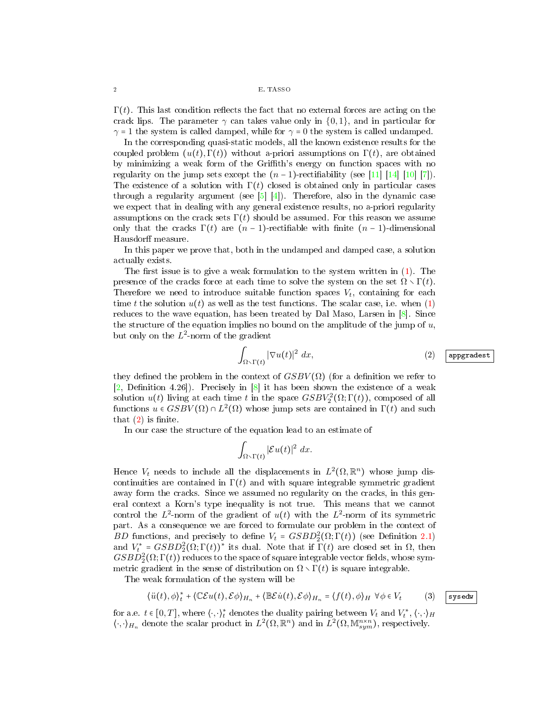$\Gamma(t)$ . This last condition reflects the fact that no external forces are acting on the crack lips. The parameter  $\gamma$  can takes value only in  $\{0, 1\}$ , and in particular for  $\gamma = 1$  the system is called damped, while for  $\gamma = 0$  the system is called undamped.

In the corresponding quasi-static models, all the known existence results for the coupled problem  $(u(t), \Gamma(t))$  without a-priori assumptions on  $\Gamma(t)$ , are obtained by minimizing a weak form of the Grith's energy on function spaces with no regularity on the jump sets except the  $(n-1)$ -rectifiability (see [\[11\]](#page-21-2) [\[14\]](#page-21-3) [\[10\]](#page-21-4) [\[7\]](#page-21-5)). The existence of a solution with  $\Gamma(t)$  closed is obtained only in particular cases through a regularity argument (see  $[5]$  [\[4\]](#page-21-7)). Therefore, also in the dynamic case we expect that in dealing with any general existence results, no a-priori regularity assumptions on the crack sets  $\Gamma(t)$  should be assumed. For this reason we assume only that the cracks  $\Gamma(t)$  are  $(n-1)$ -rectifiable with finite  $(n-1)$ -dimensional Hausdorff measure.

In this paper we prove that, both in the undamped and damped case, a solution actually exists.

The first issue is to give a weak formulation to the system written in  $(1)$ . The presence of the cracks force at each time to solve the system on the set  $\Omega \setminus \Gamma(t)$ . Therefore we need to introduce suitable function spaces  $V_t$ , containing for each time t the solution  $u(t)$  as well as the test functions. The scalar case, i.e. when [\(1\)](#page-0-0) reduces to the wave equation, has been treated by Dal Maso, Larsen in [\[8\]](#page-21-8). Since the structure of the equation implies no bound on the amplitude of the jump of  $u$ , but only on the  $L^2$ -norm of the gradient

<span id="page-1-0"></span>
$$
\int_{\Omega \setminus \Gamma(t)} |\nabla u(t)|^2 \ dx, \tag{2}
$$

they defined the problem in the context of  $GSBV(\Omega)$  (for a definition we refer to  $[2,$  Definition 4.26]). Precisely in  $[8]$  it has been shown the existence of a weak solution  $u(t)$  living at each time t in the space  $GSBV_2^2(\Omega; \Gamma(t))$ , composed of all functions  $u \in GSBV(\Omega) \cap L^2(\Omega)$  whose jump sets are contained in  $\Gamma(t)$  and such that  $(2)$  is finite.

In our case the structure of the equation lead to an estimate of

$$
\int_{\Omega \setminus \Gamma(t)} |\mathcal{E} u(t)|^2 dx.
$$

Hence  $V_t$  needs to include all the displacements in  $L^2(\Omega,\mathbb{R}^n)$  whose jump discontinuities are contained in  $\Gamma(t)$  and with square integrable symmetric gradient away form the cracks. Since we assumed no regularity on the cracks, in this general context a Korn's type inequality is not true. This means that we cannot control the  $L^2$ -norm of the gradient of  $u(t)$  with the  $L^2$ -norm of its symmetric part. As a consequence we are forced to formulate our problem in the context of BD functions, and precisely to define  $V_t = GSBD_2^2(\Omega; \Gamma(t))$  (see Definition [2.1\)](#page-3-0) and  $V_t^* = GSBD_2^2(\Omega; \Gamma(t))^*$  its dual. Note that if  $\Gamma(t)$  are closed set in  $\Omega$ , then  $GSBD_2^2(\Omega;\Gamma(t))$  reduces to the space of square integrable vector fields, whose symmetric gradient in the sense of distribution on  $\Omega \setminus \Gamma(t)$  is square integrable.

The weak formulation of the system will be

$$
\langle \ddot{u}(t), \phi \rangle_t^* + \langle \mathbb{C}\mathcal{E}u(t), \mathcal{E}\phi \rangle_{H_n} + \langle \mathbb{B}\mathcal{E}\dot{u}(t), \mathcal{E}\phi \rangle_{H_n} = \langle f(t), \phi \rangle_H \ \ \forall \phi \in V_t \tag{3} \quad \text{system}
$$

for a.e.  $t \in [0,T],$  where  $\langle \cdot, \cdot \rangle_t^*$  denotes the duality pairing between  $V_t$  and  $V_t^*,$   $\langle \cdot, \cdot \rangle_H$  $\langle \cdot, \cdot \rangle_{H_n}$  denote the scalar product in  $L^2(\Omega, \mathbb{R}^n)$  and in  $L^2(\Omega, \mathbb{M}^{n \times n}_{sym})$ , respectively.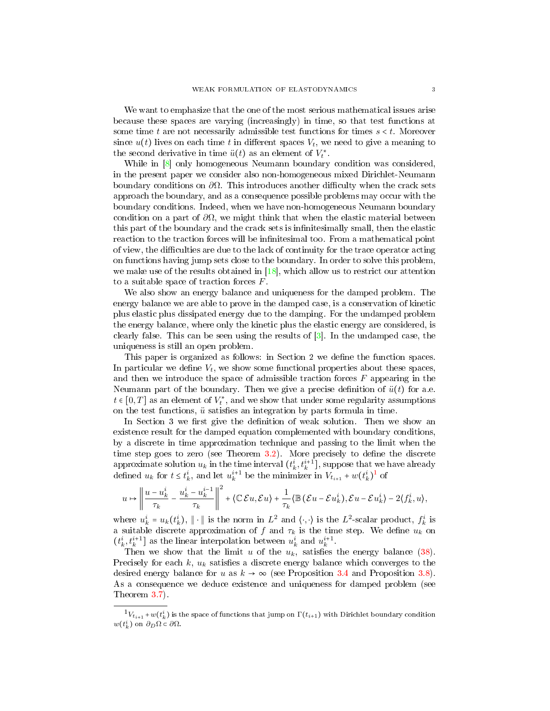We want to emphasize that the one of the most serious mathematical issues arise because these spaces are varying (increasingly) in time, so that test functions at some time t are not necessarily admissible test functions for times  $s < t$ . Moreover since  $u(t)$  lives on each time t in different spaces  $V_t$ , we need to give a meaning to the second derivative in time  $\ddot{u}(t)$  as an element of  $V_t^*$ .

While in  $\left[8\right]$  only homogeneous Neumann boundary condition was considered, in the present paper we consider also non-homogeneous mixed Dirichlet-Neumann boundary conditions on  $\partial\Omega$ . This introduces another difficulty when the crack sets approach the boundary, and as a consequence possible problems may occur with the boundary conditions. Indeed, when we have non-homogeneous Neumann boundary condition on a part of  $\partial\Omega$ , we might think that when the elastic material between this part of the boundary and the crack sets is infinitesimally small, then the elastic reaction to the traction forces will be infinitesimal too. From a mathematical point of view, the difficulties are due to the lack of continuity for the trace operator acting on functions having jump sets close to the boundary. In order to solve this problem, we make use of the results obtained in  $[18]$ , which allow us to restrict our attention to a suitable space of traction forces F.

We also show an energy balance and uniqueness for the damped problem. The energy balance we are able to prove in the damped case, is a conservation of kinetic plus elastic plus dissipated energy due to the damping. For the undamped problem the energy balance, where only the kinetic plus the elastic energy are considered, is clearly false. This can be seen using the results of  $\lceil 3 \rceil$ . In the undamped case, the uniqueness is still an open problem.

This paper is organized as follows: in Section 2 we define the function spaces. In particular we define  $V_t$ , we show some functional properties about these spaces, and then we introduce the space of admissible traction forces  $F$  appearing in the Neumann part of the boundary. Then we give a precise definition of  $\ddot{u}(t)$  for a.e.  $t \in [0,T]$  as an element of  $V_t^*$ , and we show that under some regularity assumptions on the test functions,  $\ddot{u}$  satisfies an integration by parts formula in time.

In Section 3 we first give the definition of weak solution. Then we show an existence result for the damped equation complemented with boundary conditions, by a discrete in time approximation technique and passing to the limit when the time step goes to zero (see Theorem  $3.2$ ). More precisely to define the discrete approximate solution  $u_k$  in the time interval  $(t_k^i, t_k^{i+1}]$ , suppose that we have already defined  $u_k$  for  $t \leq t_k^i$ , and let  $u_k^{i+1}$  $u_k^{i+1}$  $u_k^{i+1}$  be the minimizer in  $V_{t_{i+1}} + w(t_k^i)^1$  of

$$
u \mapsto \left\| \frac{u - u_k^i}{\tau_k} - \frac{u_k^i - u_k^{i-1}}{\tau_k} \right\|^2 + \left\langle \mathbb{C} \mathcal{E} u, \mathcal{E} u \right\rangle + \frac{1}{\tau_k} \left\langle \mathbb{B} \left( \mathcal{E} u - \mathcal{E} u_k^i \right), \mathcal{E} u - \mathcal{E} u_k^i \right\rangle - 2 \langle f_k^i, u \rangle,
$$

where  $u_k^i = u_k(t_k^i)$ ,  $\|\cdot\|$  is the norm in  $L^2$  and  $\langle \cdot, \cdot \rangle$  is the  $L^2$ -scalar product,  $f_k^i$  is a suitable discrete approximation of f and  $\tau_k$  is the time step. We define  $u_k$  on  $(t_k^i, t_k^{i+1}]$  as the linear interpolation between  $u_k^i$  and  $u_k^{i+1}$ .

Then we show that the limit u of the  $u_k$ , satisfies the energy balance [\(38\)](#page-10-1). Precisely for each  $k$ ,  $u_k$  satisfies a discrete energy balance which converges to the desired energy balance for u as  $k \to \infty$  (see Proposition [3.4](#page-16-0) and Proposition [3.8\)](#page-18-0). As a consequence we deduce existence and uniqueness for damped problem (see Theorem [3.7\)](#page-18-1).

<span id="page-2-0"></span> ${}^{1}V_{t_{i+1}}$  +  $w(t_{k}^{i})$  is the space of functions that jump on  $\Gamma(t_{i+1})$  with Dirichlet boundary condition  $w(t_k^i)$  on  $\partial_D\Omega \subset \partial\Omega$ .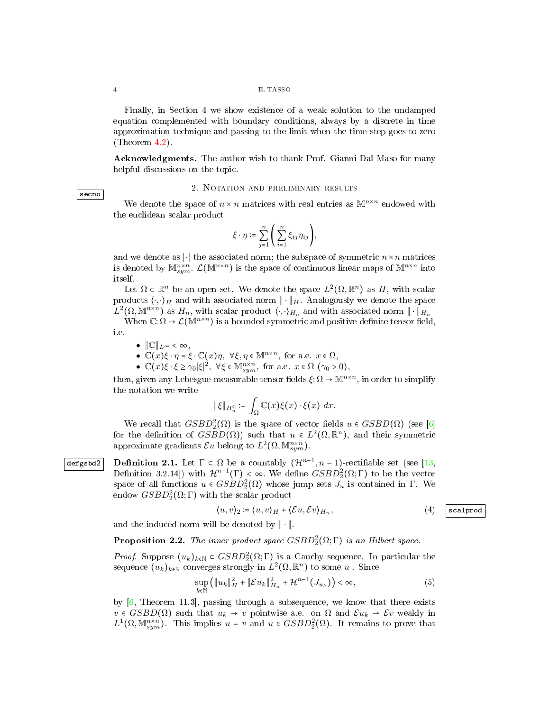Finally, in Section 4 we show existence of a weak solution to the undamped equation complemented with boundary conditions, always by a discrete in time approximation technique and passing to the limit when the time step goes to zero (Theorem [4.2\)](#page-19-0).

Acknowledgments. The author wish to thank Prof. Gianni Dal Maso for many helpful discussions on the topic.

### secno

## 2. Notation and preliminary results

<span id="page-3-2"></span>We denote the space of  $n \times n$  matrices with real entries as  $\mathbb{M}^{n \times n}$  endowed with the euclidean scalar product

$$
\xi\cdot\eta\coloneqq\sum_{j=1}^n\Bigg(\sum_{i=1}^n\xi_{ij}\eta_{ij}\Bigg),
$$

and we denote as  $\lvert \cdot \rvert$  the associated norm; the subspace of symmetric  $n \times n$  matrices is denoted by  $\mathbb{M}^{n \times n}_{sym}$ .  $\mathcal{L}(\mathbb{M}^{n \times n})$  is the space of continuous linear maps of  $\mathbb{M}^{n \times n}$  into itself.

Let  $\Omega \subset \mathbb{R}^n$  be an open set. We denote the space  $L^2(\Omega, \mathbb{R}^n)$  as H, with scalar products  $\langle \cdot, \cdot \rangle_H$  and with associated norm  $\|\cdot\|_H$ . Analogously we denote the space  $L^2(\Omega, \mathbb{M}^{n \times n})$  as  $H_n$ , with scalar product  $\langle \cdot, \cdot \rangle_{H_n}$  and with associated norm  $\|\cdot\|_{H_n}$ 

When  $\mathbb{C}:\Omega\to\mathcal{L}(\mathbb{M}^{n\times n})$  is a bounded symmetric and positive definite tensor field, i.e.

$$
\bullet \ \|\mathbb{C}\|_{L^{\infty}} < \infty,
$$

•  $\mathbb{C}(x)\xi \cdot \eta = \xi \cdot \mathbb{C}(x)\eta, \forall \xi, \eta \in \mathbb{M}^{n \times n}$ , for a.e.  $x \in \Omega$ ,

•  $\mathbb{C}(x)\xi \cdot \xi \ge \gamma_0 |\xi|^2$ ,  $\forall \xi \in \mathbb{M}_{sym}^{n \times n}$ , for a.e.  $x \in \Omega$  ( $\gamma_0 > 0$ ),

then, given any Lebesgue-measurable tensor fields  $\xi : \Omega \to \mathbb{M}^{n \times n}$ , in order to simplify the notation we write

$$
\|\xi\|_{H_n^{\mathbb{C}}} \coloneqq \int_{\Omega} \mathbb{C}(x)\xi(x) \cdot \xi(x) \, dx.
$$

<span id="page-3-0"></span>We recall that  $GSBD_2^2(\Omega)$  is the space of vector fields  $u \in GSBD(\Omega)$  (see [\[6\]](#page-21-12) for the definition of  $G\widetilde{B}D(\Omega)$  such that  $u \in L^2(\Omega,\mathbb{R}^n)$ , and their symmetric approximate gradients  $\mathcal{E}u$  belong to  $L^2(\Omega, \mathbb{M}^{n \times n}_{sym})$ .

defgsbd2 Definition 2.1. Let  $\Gamma \subset \Omega$  be a countably  $(\mathcal{H}^{n-1}, n-1)$ -rectifiable set (see [\[13,](#page-21-13) Definition 3.2.14]) with  $\mathcal{H}^{n-1}(\Gamma) < \infty$ . We define  $GSBD_2^2(\Omega;\Gamma)$  to be the vector space of all functions  $u \in GSBD_2^2(\Omega)$  whose jump sets  $J_u$  is contained in  $\Gamma$ . We endow  $GSBD_2^2(\Omega;\Gamma)$  with the scalar product

<span id="page-3-1"></span>
$$
\langle u, v \rangle_2 \coloneqq \langle u, v \rangle_H + \langle \mathcal{E}u, \mathcal{E}v \rangle_{H_n},\tag{4} \tag{5.1}
$$

and the induced norm will be denoted by  $\|\cdot\|$ .

**Proposition 2.2.** The inner product space  $GSBD_2^2(\Omega;\Gamma)$  is an Hilbert space.

*Proof.* Suppose  $(u_k)_{k \in \mathbb{N}} \subset GSBD_2^2(\Omega;\Gamma)$  is a Cauchy sequence. In particular the sequence  $(u_k)_{k \in \mathbb{N}}$  converges strongly in  $L^2(\Omega, \mathbb{R}^n)$  to some  $u$ . Since

$$
\sup_{k \in \mathbb{N}} \left( \|u_k\|_{H}^2 + \|\mathcal{E}u_k\|_{H_n}^2 + \mathcal{H}^{n-1}(J_{u_k}) \right) < \infty,\tag{5}
$$

by [\[6,](#page-21-12) Theorem 11.3], passing through a subsequence, we know that there exists  $v \in GSBD(\Omega)$  such that  $u_k \to v$  pointwise a.e. on  $\Omega$  and  $\mathcal{E}u_k \to \mathcal{E}v$  weakly in  $L^1(\Omega, \mathbb{M}^{n \times n}_{sym})$ . This implies  $u = v$  and  $u \in GSBD_2^2(\Omega)$ . It remains to prove that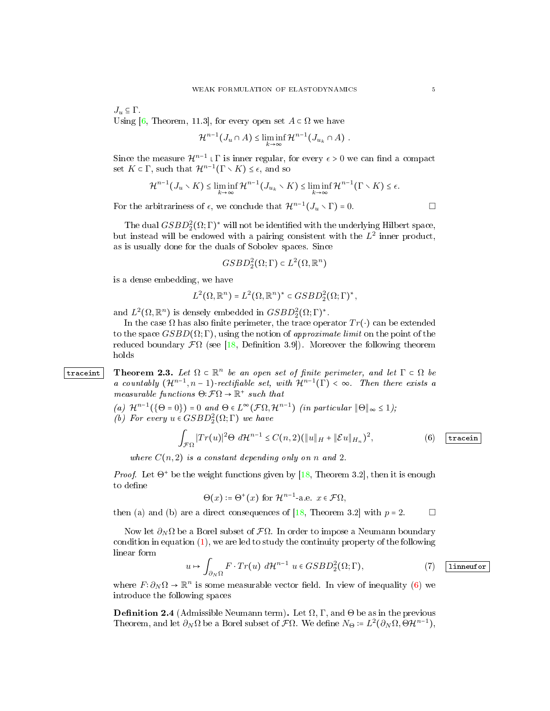$J_u \subseteq \Gamma$ . Using [\[6,](#page-21-12) Theorem, 11.3], for every open set  $A \subset \Omega$  we have

$$
\mathcal{H}^{n-1}(J_u \cap A) \leq \liminf_{k \to \infty} \mathcal{H}^{n-1}(J_{u_k} \cap A) .
$$

Since the measure  $\mathcal{H}^{n-1} \cup \Gamma$  is inner regular, for every  $\epsilon > 0$  we can find a compact set  $K \subset \Gamma$ , such that  $\mathcal{H}^{n-1}(\Gamma \setminus K) \leq \epsilon$ , and so

$$
\mathcal{H}^{n-1}(J_u \setminus K) \leq \liminf_{k \to \infty} \mathcal{H}^{n-1}(J_{u_k} \setminus K) \leq \liminf_{k \to \infty} \mathcal{H}^{n-1}(\Gamma \setminus K) \leq \epsilon.
$$

For the arbitrariness of  $\epsilon$ , we conclude that  $\mathcal{H}^{n-1}(J_u \setminus \Gamma) = 0$ .

The dual  $GSBD_2^2(\Omega;\Gamma)^*$  will not be identified with the underlying Hilbert space, but instead will be endowed with a pairing consistent with the  $L^2$  inner product, as is usually done for the duals of Sobolev spaces. Since

$$
GSBD_2^2(\Omega; \Gamma) \subset L^2(\Omega, \mathbb{R}^n)
$$

is a dense embedding, we have

$$
L^2(\Omega,\mathbb{R}^n) = L^2(\Omega,\mathbb{R}^n)^* \subset GSBD_2^2(\Omega;\Gamma)^*,
$$

and  $L^2(\Omega,\mathbb{R}^n)$  is densely embedded in  $GSBD_2^2(\Omega;\Gamma)^*$ .

In the case  $\Omega$  has also finite perimeter, the trace operator  $Tr(\cdot)$  can be extended to the space  $GSBD(\Omega;\Gamma)$ , using the notion of *approximate limit* on the point of the reduced boundary  $\mathcal{F}\Omega$  (see [\[18,](#page-21-10) Definition 3.9]). Moreover the following theorem holds

trace int Theorem 2.3. Let  $\Omega \subset \mathbb{R}^n$  be an open set of finite perimeter, and let  $\Gamma \subset \Omega$  be a countably  $(\mathcal{H}^{n-1}, n-1)$ -rectifiable set, with  $\mathcal{H}^{n-1}(\Gamma) < \infty$ . Then there exists a measurable functions  $\Theta: \mathcal{F}\Omega \to \mathbb{R}^+$  such that

- <span id="page-4-1"></span>(a)  $\mathcal{H}^{n-1}(\{\Theta = 0\}) = 0$  and  $\Theta \in L^{\infty}(\mathcal{F}\Omega, \mathcal{H}^{n-1})$  (in particular  $\|\Theta\|_{\infty} \leq 1$ );
- (b) For every  $u \in GSBD_2^2(\Omega; \Gamma)$  we have

<span id="page-4-0"></span>
$$
\int_{\mathcal{F}\Omega} |Tr(u)|^2 \Theta \, d\mathcal{H}^{n-1} \leq C(n,2) \big( \|u\|_H + \|\mathcal{E}u\|_{H_n} \big)^2, \tag{6} \quad \text{tracein}
$$

where  $C(n, 2)$  is a constant depending only on n and 2.

*Proof.* Let  $\Theta^+$  be the weight functions given by [\[18,](#page-21-10) Theorem 3.2], then it is enough to define

$$
\Theta(x) \coloneqq \Theta^+(x) \text{ for } \mathcal{H}^{n-1} \text{ a.e. } x \in \mathcal{F}\Omega,
$$

then (a) and (b) are a direct consequences of [\[18,](#page-21-10) Theorem 3.2] with  $p = 2$ .  $\Box$ 

Now let  $\partial_N$ Ω be a Borel subset of  $\mathcal{F}$ Ω. In order to impose a Neumann boundary condition in equation  $(1)$ , we are led to study the continuity property of the following linear form

<span id="page-4-2"></span>
$$
u \mapsto \int_{\partial_N \Omega} F \cdot Tr(u) \, d\mathcal{H}^{n-1} \, u \in GSBD_2^2(\Omega; \Gamma), \tag{7}
$$

where  $F: \partial_N \Omega \to \mathbb{R}^n$  is some measurable vector field. In view of inequality [\(6\)](#page-4-0) we introduce the following spaces

**Definition 2.4** (Admissible Neumann term). Let  $\Omega$ ,  $\Gamma$ , and  $\Theta$  be as in the previous Theorem, and let  $\partial_N \Omega$  be a Borel subset of  $\mathcal{F}\Omega$ . We define  $N_{\Theta} \coloneqq L^2(\partial_N \Omega, \Theta \mathcal{H}^{n-1}),$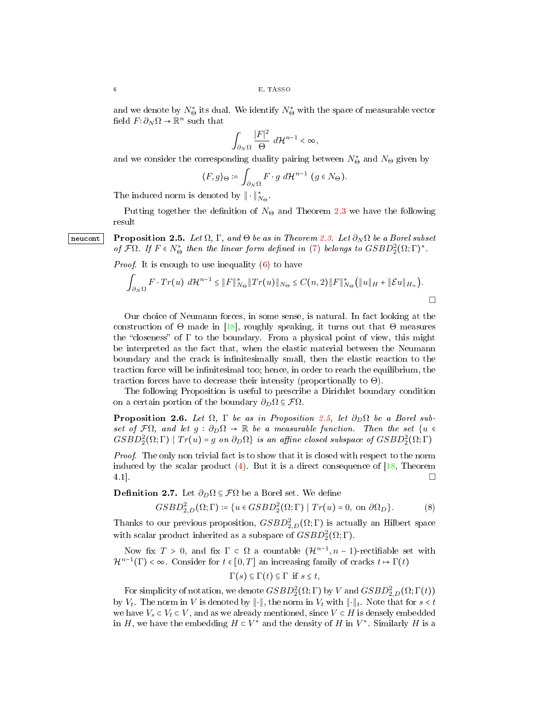and we denote by  $N^*_{\Theta}$  its dual. We identify  $N^*_{\Theta}$  with the space of measurable vector field  $F: \partial_N \Omega \to \mathbb{R}^n$  such that

$$
\int_{\partial_N \Omega} \frac{|F|^2}{\Theta} \, d\mathcal{H}^{n-1} < \infty,
$$

and we consider the corresponding duality pairing between  $N^*_{\Theta}$  and  $N_{\Theta}$  given by

$$
\langle F, g \rangle_{\Theta} \coloneqq \int_{\partial_N \Omega} F \cdot g \, d\mathcal{H}^{n-1} \, (g \in N_{\Theta}).
$$

The induced norm is denoted by  $\|\cdot\|_{N_{\Theta}}^*$ .

<span id="page-5-0"></span>Putting together the definition of  $N_{\Theta}$  and Theorem [2.3](#page-4-1) we have the following result

neucont Proposition 2.5. Let  $\Omega$ , Γ, and  $\Theta$  be as in Theorem [2.3.](#page-4-1) Let  $\partial_N \Omega$  be a Borel subset of  $\mathcal{F}\Omega$ . If  $F \in N^*_{\Theta}$  then the linear form defined in [\(7\)](#page-4-2) belongs to  $GSBD_2^2(\Omega;\Gamma)^*$ .

*Proof.* It is enough to use inequality  $(6)$  to have

$$
\int_{\partial_N\Omega} F \cdot Tr(u) d\mathcal{H}^{n-1} \leq ||F||^*_{N_{\Theta}} ||Tr(u)||_{N_{\Theta}} \leq C(n,2) ||F||^*_{N_{\Theta}} \Big( ||u||_H + ||\mathcal{E}u||_{H_n} \Big).
$$

Our choice of Neumann forces, in some sense, is natural. In fact looking at the construction of  $\Theta$  made in [\[18\]](#page-21-10), roughly speaking, it turns out that  $\Theta$  measures the "closeness" of  $\Gamma$  to the boundary. From a physical point of view, this might be interpreted as the fact that, when the elastic material between the Neumann boundary and the crack is infinitesimally small, then the elastic reaction to the traction force will be infinitesimal too; hence, in order to reach the equilibrium, the traction forces have to decrease their intensity (proportionally to  $\Theta$ ).

The following Proposition is useful to prescribe a Dirichlet boundary condition on a certain portion of the boundary  $\partial_D\Omega \subseteq \mathcal{F}\Omega$ .

**Proposition 2.6.** Let  $\Omega$ ,  $\Gamma$  be as in Proposition [2.5,](#page-5-0) let  $\partial_D \Omega$  be a Borel subset of  $\mathcal{F}\Omega$ , and let  $g : \partial_D\Omega \to \mathbb{R}$  be a measurable function. Then the set  $\{u \in$  $GSBD_2^2(\Omega;\Gamma) | Tr(u) = g$  on  $\partial_D\Omega$  is an affine closed subspace of  $GSBD_2^2(\Omega;\Gamma)$ 

Proof. The only non trivial fact is to show that it is closed with respect to the norm induced by the scalar product  $(4)$ . But it is a direct consequence of [\[18,](#page-21-10) Theorem 4.1].

**Definition 2.7.** Let  $\partial_D \Omega \subseteq \mathcal{F} \Omega$  be a Borel set. We define

$$
GSBD_{2,D}^{2}(\Omega;\Gamma) \coloneqq \{ u \in GSBD_{2}^{2}(\Omega;\Gamma) \mid Tr(u) = 0, \text{ on } \partial \Omega_{D} \}. \tag{8}
$$

Thanks to our previous proposition,  $GSBD_{2,D}^{2}(\Omega;\Gamma)$  is actually an Hilbert space with scalar product inherited as a subspace of  $GSBD_2^2(\Omega;\Gamma)$ .

Now fix  $T > 0$ , and fix  $\Gamma \subset \Omega$  a countable  $(\mathcal{H}^{n-1}, n-1)$ -rectifiable set with  $\mathcal{H}^{n-1}(\Gamma) < \infty$ . Consider for  $t \in [0, T]$  an increasing family of cracks  $t \mapsto \Gamma(t)$ 

$$
\Gamma(s) \subseteq \Gamma(t) \subseteq \Gamma \text{ if } s \le t,
$$

For simplicity of notation, we denote  $GSBD_2^2(\Omega;\Gamma)$  by V and  $GSBD_{2,D}^2(\Omega;\Gamma(t))$ by  $V_t$ . The norm in V is denoted by  $\|\cdot\|$ , the norm in  $V_t$  with  $\|\cdot\|_t$ . Note that for  $s < t$ we have  $V_s \subset V_t \subset V$ , and as we already mentioned, since  $V \subset H$  is densely embedded in H, we have the embedding  $H \subset V^*$  and the density of H in  $V^*$ . Similarly H is a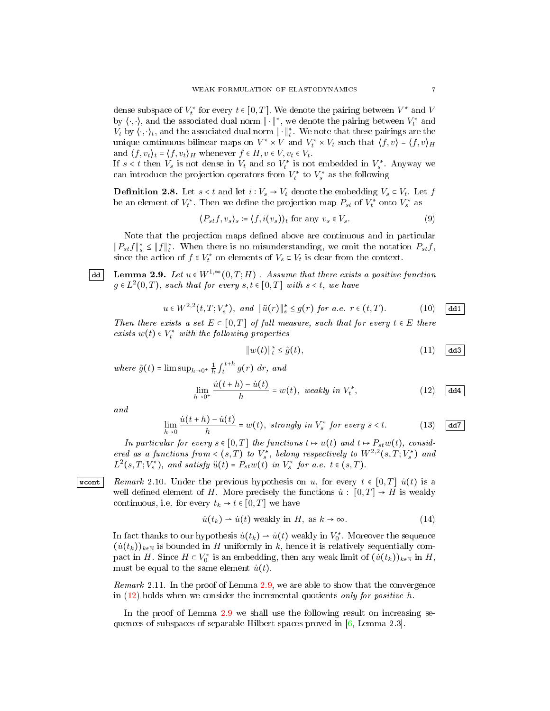dense subspace of  $V_t^*$  for every  $t \in [0,T]$ . We denote the pairing between  $V^*$  and  $V$ by  $\langle \cdot, \cdot \rangle$ , and the associated dual norm  $\|\cdot\|^*$ , we denote the pairing between  $V_t^*$  and  $V_t$  by  $\langle \cdot, \cdot \rangle_t$ , and the associated dual norm  $\|\cdot\|_t^*$ . We note that these pairings are the unique continuous bilinear maps on  $V^* \times V$  and  $V_t^* \times V_t$  such that  $\langle f, v \rangle = \langle f, v \rangle_H$ and  $\langle f, v_t \rangle_t = \langle f, v_t \rangle_H$  whenever  $f \in H, v \in V, v_t \in V_t$ .

If  $s < t$  then  $V_s$  is not dense in  $V_t$  and so  $V_t^*$  is not embedded in  $V_s^*$ . Anyway we can introduce the projection operators from  $V_t^*$  to  $V_s^*$  as the following

**Definition 2.8.** Let  $s < t$  and let  $i : V_s \to V_t$  denote the embedding  $V_s \subset V_t$ . Let  $f$ be an element of  $V_t^*$ . Then we define the projection map  $P_{st}$  of  $V_t^*$  onto  $V_s^*$  as

$$
\langle P_{st}f, v_s \rangle_s \coloneqq \langle f, i(v_s) \rangle_t \text{ for any } v_s \in V_s. \tag{9}
$$

Note that the projection maps defined above are continuous and in particular  $||P_{st}f||^*_{s} \leq ||f||^*_{t}$ . When there is no misunderstanding, we omit the notation  $P_{st}f$ , since the action of  $f \in V_t^*$  on elements of  $V_s \subset V_t$  is clear from the context.

dd Lemma 2.9. Let  $u \in W^{1,\infty}(0,T;H)$ . Assume that there exists a positive function  $g \in L^2(0,T)$ , such that for every  $s,t \in [0,T]$  with  $s < t$ , we have

<span id="page-6-2"></span>
$$
u \in W^{2,2}(t,T;V_s^*), \text{ and } \|\ddot{u}(r)\|_s^* \le g(r) \text{ for a.e. } r \in (t,T). \tag{10}
$$

Then there exists a set  $E \subset [0,T]$  of full measure, such that for every  $t \in E$  there exists  $w(t) \in V_t^*$  with the following properties

<span id="page-6-3"></span>
$$
||w(t)||_{t}^{*} \leq \tilde{g}(t), \tag{11}
$$

where  $\tilde{g}(t) = \limsup_{h \to 0^+} \frac{1}{h} \int_t^{t+h} g(r) dr$ , and

<span id="page-6-1"></span>
$$
\lim_{h \to 0^+} \frac{\dot{u}(t+h) - \dot{u}(t)}{h} = w(t), \text{ weakly in } V_t^*,
$$
\n(12)  $\boxed{\text{dd4}}$ 

and

$$
\lim_{h \to 0} \frac{\dot{u}(t+h) - \dot{u}(t)}{h} = w(t), \text{ strongly in } V_s^* \text{ for every } s < t. \tag{13}
$$

<span id="page-6-4"></span>In particular for every  $s \in [0,T]$  the functions  $t \mapsto u(t)$  and  $t \mapsto P_{st}w(t)$ , considered as a functions from  $\langle s, T \rangle$  to  $V_s^*$ , belong respectively to  $W^{2,2}(s,T;V_s^*)$  and  $L^2(s,T;V^*_s)$ , and satisfy  $\ddot{u}(t) = P_{st}w(t)$  in  $V^*_s$  for a.e.  $t \in (s,T)$ .

wcont Remark 2.10. Under the previous hypothesis on u, for every  $t \in [0, T]$   $\dot{u}(t)$  is a well defined element of H. More precisely the functions  $\dot{u}: [0,T] \to H$  is weakly continuous, i.e. for every  $t_k \to t \in [0, T]$  we have

$$
\dot{u}(t_k) \rightharpoonup \dot{u}(t) \text{ weakly in } H, \text{ as } k \to \infty. \tag{14}
$$

In fact thanks to our hypothesis  $\dot{u}(t_k) \rightarrow \dot{u}(t)$  weakly in  $V_0^*$ . Moreover the sequence  $(\dot{u}(t_k))_{k\in\mathbb{N}}$  is bounded in H uniformly in k, hence it is relatively sequentially compact in H. Since  $H \subset V_0^*$  is an embedding, then any weak limit of  $(u(t_k))_{k \in \mathbb{N}}$  in H, must be equal to the same element  $\dot{u}(t)$ .

Remark 2.11. In the proof of Lemma [2.9,](#page-6-0) we are able to show that the convergence in  $(12)$  holds when we consider the incremental quotients only for positive h.

In the proof of Lemma [2.9](#page-6-0) we shall use the following result on increasing sequences of subspaces of separable Hilbert spaces proved in  $[6, \text{Lemma } 2.3].$  $[6, \text{Lemma } 2.3].$ 

<span id="page-6-0"></span>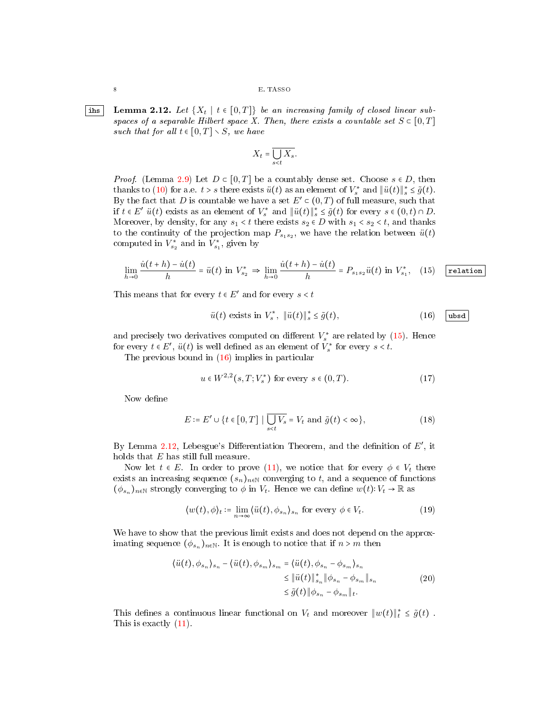<span id="page-7-2"></span>|ihs | Lemma 2.12. Let  $\{X_t | t \in [0,T]\}$  be an increasing family of closed linear subspaces of a separable Hilbert space X. Then, there exists a countable set  $S \subset [0,T]$ such that for all  $t \in [0, T] \setminus S$ , we have

$$
X_t = \overline{\bigcup_{s
$$

*Proof.* (Lemma [2.9\)](#page-6-0) Let  $D \subset [0, T]$  be a countably dense set. Choose  $s \in D$ , then thanks to [\(10\)](#page-6-2) for a.e.  $t > s$  there exists  $\ddot{u}(t)$  as an element of  $V_s^*$  and  $\|\ddot{u}(t)\|_{s}^* \leq \tilde{g}(t)$ . By the fact that D is countable we have a set  $E' \subset (0,T)$  of full measure, such that if  $t \in E'$   $\ddot{u}(t)$  exists as an element of  $V_s^*$  and  $\|\ddot{u}(t)\|_{s}^* \leq \tilde{g}(t)$  for every  $s \in (0, t) \cap D$ . Moreover, by density, for any  $s_1 < t$  there exists  $s_2 \in D$  with  $s_1 < s_2 < t$ , and thanks to the continuity of the projection map  $P_{s_1s_2}$ , we have the relation between  $\ddot{u}(t)$ computed in  $V_{s_2}^*$  and in  $V_{s_1}^*$ , given by

<span id="page-7-0"></span>
$$
\lim_{h \to 0} \frac{\dot{u}(t+h) - \dot{u}(t)}{h} = \ddot{u}(t) \text{ in } V_{s_2}^* \implies \lim_{h \to 0} \frac{\dot{u}(t+h) - \dot{u}(t)}{h} = P_{s_1 s_2} \ddot{u}(t) \text{ in } V_{s_1}^*, \quad (15) \quad \boxed{\text{relation}}
$$

This means that for every  $t \in E'$  and for every  $s < t$ 

<span id="page-7-1"></span>
$$
\ddot{u}(t) \text{ exists in } V_s^*, \ \|\ddot{u}(t)\|_s^* \le \tilde{g}(t),\tag{16}
$$

and precisely two derivatives computed on different  $V_s^*$  are related by [\(15\)](#page-7-0). Hence for every  $t \in E'$ ,  $\ddot{u}(t)$  is well defined as an element of  $V_s^*$  for every  $s < t$ .

The previous bound in [\(16\)](#page-7-1) implies in particular

$$
u \in W^{2,2}(s, T; V_s^*) \text{ for every } s \in (0, T). \tag{17}
$$

Now define

$$
E \coloneqq E' \cup \{ t \in [0, T] \mid \overline{\bigcup_{s < t} V_s} = V_t \text{ and } \tilde{g}(t) < \infty \},\tag{18}
$$

By Lemma [2.12,](#page-7-2) Lebesgue's Differentiation Theorem, and the definition of  $E'$ , it holds that  $E$  has still full measure.

Now let  $t \in E$ . In order to prove [\(11\)](#page-6-3), we notice that for every  $\phi \in V_t$  there exists an increasing sequence  $(s_n)_{n\in\mathbb{N}}$  converging to t, and a sequence of functions  $(\phi_{s_n})_{n\in\mathbb{N}}$  strongly converging to  $\phi$  in  $V_t$ . Hence we can define  $w(t): V_t \to \mathbb{R}$  as

$$
\langle w(t), \phi \rangle_t \coloneqq \lim_{n \to \infty} \langle \ddot{u}(t), \phi_{s_n} \rangle_{s_n} \text{ for every } \phi \in V_t. \tag{19}
$$

We have to show that the previous limit exists and does not depend on the approximating sequence  $(\phi_{s_n})_{n \in \mathbb{N}}$ . It is enough to notice that if  $n > m$  then

$$
\langle \ddot{u}(t), \phi_{s_n} \rangle_{s_n} - \langle \ddot{u}(t), \phi_{s_m} \rangle_{s_m} = \langle \ddot{u}(t), \phi_{s_n} - \phi_{s_m} \rangle_{s_n} \leq \|\ddot{u}(t)\|_{s_n}^* \|\phi_{s_n} - \phi_{s_m}\|_{s_n} \leq \tilde{g}(t) \|\phi_{s_n} - \phi_{s_m}\|_{t}.
$$
\n(20)

This defines a continuous linear functional on  $V_t$  and moreover  $||w(t)||_t^* \leq \tilde{g}(t)$ . This is exactly [\(11\)](#page-6-3).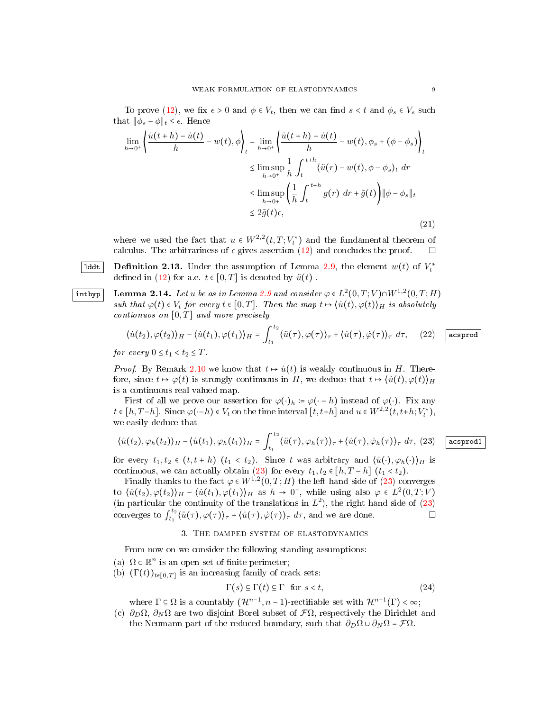To prove [\(12\)](#page-6-1), we fix  $\epsilon > 0$  and  $\phi \in V_t$ , then we can find  $s < t$  and  $\phi_s \in V_s$  such that  $||\phi_s - \phi||_t \leq \epsilon$ . Hence

$$
\lim_{h \to 0^{+}} \left\{ \frac{\dot{u}(t+h) - \dot{u}(t)}{h} - w(t), \phi \right\}_{t} = \lim_{h \to 0^{+}} \left\{ \frac{\dot{u}(t+h) - \dot{u}(t)}{h} - w(t), \phi_{s} + (\phi - \phi_{s}) \right\}_{t}
$$
\n
$$
\leq \limsup_{h \to 0^{+}} \frac{1}{h} \int_{t}^{t+h} \left\langle \ddot{u}(r) - w(t), \phi - \phi_{s} \right\rangle_{t} dr
$$
\n
$$
\leq \limsup_{h \to 0^{+}} \left( \frac{1}{h} \int_{t}^{t+h} g(r) dr + \tilde{g}(t) \right) \|\phi - \phi_{s}\|_{t}
$$
\n
$$
\leq 2\tilde{g}(t)\epsilon,
$$
\n(21)

<span id="page-8-1"></span>where we used the fact that  $u \in W^{2,2}(t,T;V_t^*)$  and the fundamental theorem of calculus. The arbitrariness of  $\epsilon$  gives assertion [\(12\)](#page-6-1) and concludes the proof.  $\square$ 

<span id="page-8-2"></span> ${\tt Iddt}\,$  Definition 2.13. Under the assumption of Lemma [2.9,](#page-6-0) the element  $w(t)$  of  $V_t^*$ defined in [\(12\)](#page-6-1) for a.e.  $t \in [0, T]$  is denoted by  $\ddot{u}(t)$ .

intbyp Lemma 2.14. Let u be as in Lemma [2.9](#page-6-0) and consider  $\varphi \in L^2(0,T;V) \cap W^{1,2}(0,T;H)$ suh that  $\varphi(t) \in V_t$  for every  $t \in [0,T]$ . Then the map  $t \mapsto \langle \dot{u}(t), \varphi(t) \rangle_H$  is absolutely contionuos on  $[0, T]$  and more precisely

$$
\langle \dot{u}(t_2), \varphi(t_2) \rangle_H - \langle \dot{u}(t_1), \varphi(t_1) \rangle_H = \int_{t_1}^{t_2} \langle \ddot{u}(\tau), \varphi(\tau) \rangle_\tau + \langle \dot{u}(\tau), \dot{\varphi}(\tau) \rangle_\tau \, d\tau, \quad (22)
$$
 acsprod

for every  $0 \le t_1 < t_2 \le T$ .

*Proof.* By Remark [2.10](#page-6-4) we know that  $t \mapsto \dot{u}(t)$  is weakly continuous in H. Therefore, since  $t \mapsto \varphi(t)$  is strongly continuous in H, we deduce that  $t \mapsto \langle \dot{u}(t), \varphi(t) \rangle_H$ is a continuous real valued map.

First of all we prove our assertion for  $\varphi(\cdot)_h := \varphi(\cdot - h)$  instead of  $\varphi(\cdot)$ . Fix any  $t \in [h, T-h]$ . Since  $\varphi(\cdot - h) \in V_t$  on the time interval  $[t, t+h]$  and  $u \in W^{2,2}(t, t+h; V_t^*)$ , we easily deduce that

<span id="page-8-0"></span>
$$
\langle \dot{u}(t_2), \varphi_h(t_2) \rangle_H - \langle \dot{u}(t_1), \varphi_h(t_1) \rangle_H = \int_{t_1}^{t_2} \langle \ddot{u}(\tau), \varphi_h(\tau) \rangle_\tau + \langle \dot{u}(\tau), \dot{\varphi}_h(\tau) \rangle_\tau \, d\tau, \tag{25}
$$

for every  $t_1, t_2 \in (t, t + h)$   $(t_1 < t_2)$ . Since t was arbitrary and  $\langle \dot{u}(\cdot), \varphi_h(\cdot) \rangle_H$  is continuous, we can actually obtain [\(23\)](#page-8-0) for every  $t_1, t_2 \in [h, T - h]$   $(t_1 < t_2)$ .

Finally thanks to the fact  $\varphi \in W^{1,2}(0,T;H)$  the left hand side of  $(23)$  converges to  $\langle \dot{u}(t_2), \varphi(t_2) \rangle_H - \langle \dot{u}(t_1), \varphi(t_1) \rangle_H$  as  $h \to 0^+$ , while using also  $\varphi \in L^2(0,T;V)$ (in particular the continuity of the translations in  $L^2$ ), the right hand side of [\(23\)](#page-8-0) converges to  $\int_{t_1}^{t_2}$  $\langle t_1^{t_2} \langle \ddot{u}(\tau), \varphi(\tau) \rangle_{\tau} + \langle \dot{u}(\tau), \dot{\varphi}(\tau) \rangle_{\tau} d\tau$ , and we are done.

## 3. The damped system of elastodynamics

From now on we consider the following standing assumptions:

- (a)  $\Omega \subset \mathbb{R}^n$  is an open set of finite perimeter;
- (b)  $(\Gamma(t))_{t\in[0,T]}$  is an increasing family of crack sets:

$$
\Gamma(s) \subseteq \Gamma(t) \subseteq \Gamma \text{ for } s < t,\tag{24}
$$

where  $\Gamma \subseteq \Omega$  is a countably  $(\mathcal{H}^{n-1}, n-1)$ -rectifiable set with  $\mathcal{H}^{n-1}(\Gamma) < \infty$ ;

(c)  $\partial_D \Omega$ ,  $\partial_N \Omega$  are two disjoint Borel subset of  $\mathcal{F}\Omega$ , respectively the Dirichlet and the Neumann part of the reduced boundary, such that  $\partial_D\Omega \cup \partial_N\Omega = \mathcal{F}\Omega$ .

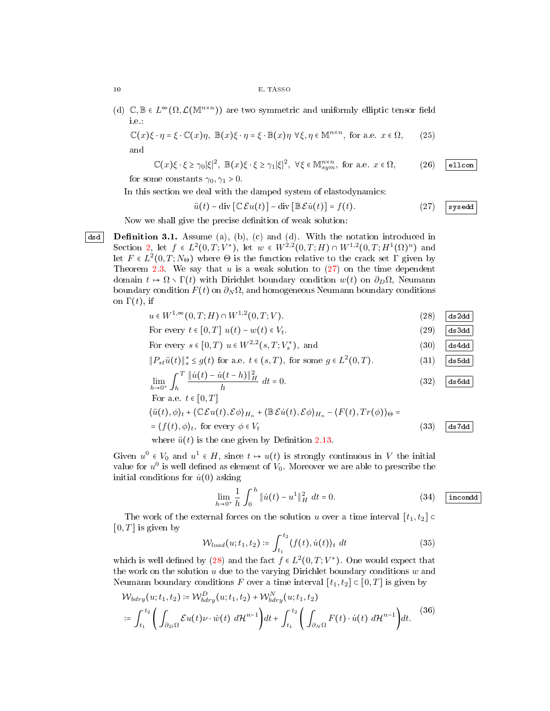(d)  $\mathbb{C}, \mathbb{B} \in L^{\infty}(\Omega, \mathcal{L}(\mathbb{M}^{n \times n}))$  are two symmetric and uniformly elliptic tensor field i.e.:

$$
\mathbb{C}(x)\xi \cdot \eta = \xi \cdot \mathbb{C}(x)\eta, \ \mathbb{B}(x)\xi \cdot \eta = \xi \cdot \mathbb{B}(x)\eta \ \forall \xi, \eta \in \mathbb{M}^{n \times n}, \text{ for a.e. } x \in \Omega,
$$
 (25) and

<span id="page-9-6"></span>
$$
\mathbb{C}(x)\xi \cdot \xi \ge \gamma_0 |\xi|^2, \ \mathbb{B}(x)\xi \cdot \xi \ge \gamma_1 |\xi|^2, \ \forall \xi \in \mathbb{M}_{sym}^{n \times n}, \text{ for a.e. } x \in \Omega, \tag{26}
$$

for some constants  $\gamma_0, \gamma_1 > 0$ .

In this section we deal with the damped system of elastodynamics:

<span id="page-9-7"></span><span id="page-9-1"></span><span id="page-9-0"></span>
$$
\ddot{u}(t) - \text{div}\left[\mathbb{C}\mathcal{E}u(t)\right] - \text{div}\left[\mathbb{B}\mathcal{E}\dot{u}(t)\right] = f(t). \tag{27}
$$

<span id="page-9-3"></span>Now we shall give the precise definition of weak solution:

dsd Definition 3.1. Assume (a), (b), (c) and (d). With the notation introduced in Section [2,](#page-3-2) let  $f \in L^2(0,T;V^*)$ , let  $w \in W^{2,2}(0,T;H) \cap W^{1,2}(0,T;H^1(\Omega)^n)$  and let  $F \in L^2(0,T;N_\Theta)$  where  $\Theta$  is the function relative to the crack set  $\Gamma$  given by Theorem [2.3.](#page-4-1) We say that  $u$  is a weak solution to  $(27)$  on the time dependent domain  $t \mapsto \Omega \setminus \Gamma(t)$  with Dirichlet boundary condition  $w(t)$  on  $\partial_D \Omega$ , Neumann boundary condition  $F(t)$  on  $\partial_N \Omega$ , and homogeneous Neumann boundary conditions on  $\Gamma(t)$ , if

| $u \in W^{1,\infty}(0,T;H) \cap W^{1,2}(0,T;V).$                                                                                                                                                                                    | (28)               | ds2dd |
|-------------------------------------------------------------------------------------------------------------------------------------------------------------------------------------------------------------------------------------|--------------------|-------|
| For every $t \in [0,T]$ $u(t) - w(t) \in V_t$ .                                                                                                                                                                                     | $\left( 29\right)$ | ds3dd |
| For every $s \in [0, T]$ $u \in W^{2,2}(s, T; V^*)$ , and                                                                                                                                                                           | (30)               | ds4dd |
| $  P_{st}\ddot{u}(t)  _s^* \leq g(t)$ for a.e. $t \in (s,T)$ , for some $g \in L^2(0,T)$ .                                                                                                                                          | (31)               | ds5dd |
| $\lim_{h\rightarrow 0^+}\int_h^T\frac{\ \dot{u}(t)-\dot{u}(t-h)\ _H^2}{h}\ dt=0.$                                                                                                                                                   | (32)               | ds6dd |
| For a.e. $t \in [0, T]$                                                                                                                                                                                                             |                    |       |
| $\langle \ddot{u}(t), \phi \rangle_t + \langle \mathbb{C} \mathcal{E} u(t), \mathcal{E} \phi \rangle_{H_n} + \langle \mathbb{B} \mathcal{E} \dot{u}(t), \mathcal{E} \phi \rangle_{H_n} - \langle F(t), Tr(\phi) \rangle_{\Theta} =$ |                    |       |
| $=\langle f(t), \phi \rangle_t$ , for every $\phi \in V_t$                                                                                                                                                                          | (33)               | ds7dd |
| where $\ddot{u}(t)$ is the one given by Definition 2.13.                                                                                                                                                                            |                    |       |

Given  $u^0 \in V_0$  and  $u^1 \in H$ , since  $t \mapsto u(t)$  is strongly continuous in V the initial value for  $u^0$  is well defined as element of  $V_0$ . Moreover we are able to prescribe the initial conditions for  $\dot{u}(0)$  asking

<span id="page-9-9"></span><span id="page-9-8"></span><span id="page-9-5"></span><span id="page-9-4"></span><span id="page-9-2"></span>
$$
\lim_{h \to 0^+} \frac{1}{h} \int_0^h \|\dot{u}(t) - u^1\|_H^2 \ dt = 0.
$$
 (34) incond

The work of the external forces on the solution u over a time interval  $[t_1, t_2]$  $[0, T]$  is given by

$$
\mathcal{W}_{load}(u; t_1, t_2) \coloneqq \int_{t_1}^{t_2} \langle f(t), \dot{u}(t) \rangle_t \, dt \tag{35}
$$

which is well defined by [\(28\)](#page-9-1) and the fact  $f \in L^2(0,T;V^*)$ . One would expect that the work on the solution  $u$  due to the varying Dirichlet boundary conditions  $w$  and Neumann boundary conditions F over a time interval  $[t_1, t_2] \subset [0, T]$  is given by

$$
\mathcal{W}_{bdry}(u;t_1,t_2) \coloneqq \mathcal{W}_{bdry}^D(u;t_1,t_2) + \mathcal{W}_{bdry}^N(u;t_1,t_2)
$$
\n
$$
\coloneqq \int_{t_1}^{t_2} \left( \int_{\partial_D \Omega} \mathcal{E}u(t) \nu \cdot \dot{w}(t) \, d\mathcal{H}^{n-1} \right) dt + \int_{t_1}^{t_2} \left( \int_{\partial_N \Omega} F(t) \cdot \dot{u}(t) \, d\mathcal{H}^{n-1} \right) dt. \tag{36}
$$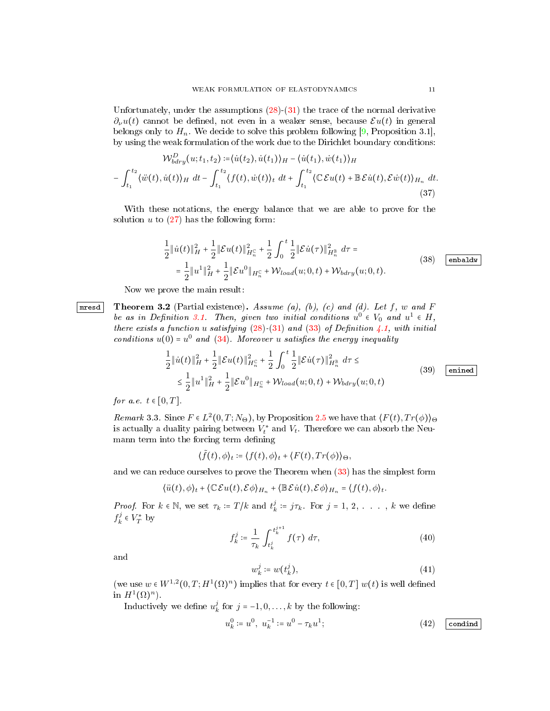Unfortunately, under the assumptions  $(28)-(31)$  $(28)-(31)$  $(28)-(31)$  the trace of the normal derivative  $\partial_{\nu}u(t)$  cannot be defined, not even in a weaker sense, because  $\mathcal{E}u(t)$  in general belongs only to  $H_n$ . We decide to solve this problem following [\[9,](#page-21-14) Proposition 3.1], by using the weak formulation of the work due to the Dirichlet boundary conditions:

$$
\mathcal{W}_{bdry}^D(u;t_1,t_2) := \langle \dot{u}(t_2), \dot{u}(t_1) \rangle_H - \langle \dot{u}(t_1), \dot{w}(t_1) \rangle_H
$$

$$
- \int_{t_1}^{t_2} \langle \ddot{w}(t), \dot{u}(t) \rangle_H dt - \int_{t_1}^{t_2} \langle f(t), \dot{w}(t) \rangle_t dt + \int_{t_1}^{t_2} \langle \mathbb{C} \mathcal{E} u(t) + \mathbb{B} \mathcal{E} \dot{u}(t), \mathcal{E} \dot{w}(t) \rangle_{H_n} dt.
$$
(37)

With these notations, the energy balance that we are able to prove for the solution  $u$  to  $(27)$  has the following form:

$$
\frac{1}{2} \|\dot{u}(t)\|_{H}^{2} + \frac{1}{2} \|\mathcal{E}u(t)\|_{H_{n}^{c}}^{2} + \frac{1}{2} \int_{0}^{t} \frac{1}{2} \|\mathcal{E}\dot{u}(\tau)\|_{H_{n}^{8}}^{2} d\tau =
$$
\n
$$
= \frac{1}{2} \|u^{1}\|_{H}^{2} + \frac{1}{2} \|\mathcal{E}u^{0}\|_{H_{n}^{c}} + \mathcal{W}_{load}(u; 0, t) + \mathcal{W}_{bdry}(u; 0, t).
$$
\n(38)  $\boxed{\text{enbadw}}$ 

<span id="page-10-1"></span><span id="page-10-0"></span>Now we prove the main result:

**Theorem 3.2** (Partial existence). Assume (a), (b), (c) and (d). Let f, w and F be as in Definition [3.1.](#page-9-3) Then, given two initial conditions  $u^0 \in V_0$  and  $u^1 \in H$ , there exists a function u satisfying  $(28)$ - $(31)$  and  $(33)$  of Definition [4.1,](#page-18-2) with initial conditions  $u(0) = u^0$  and  $(34)$ . Moreover u satisfies the energy inequality

$$
\frac{1}{2} \|\dot{u}(t)\|_{H}^{2} + \frac{1}{2} \|\mathcal{E}u(t)\|_{H_{n}^{c}}^{2} + \frac{1}{2} \int_{0}^{t} \frac{1}{2} \|\mathcal{E}\dot{u}(\tau)\|_{H_{n}^{B}}^{2} d\tau \leq
$$
\n
$$
\leq \frac{1}{2} \|u^{1}\|_{H}^{2} + \frac{1}{2} \|\mathcal{E}u^{0}\|_{H_{n}^{c}} + \mathcal{W}_{load}(u; 0, t) + \mathcal{W}_{bdry}(u; 0, t)
$$
\n(39)  $\boxed{\text{enined}}$ 

<span id="page-10-3"></span>for a.e.  $t \in [0, T]$ .

Remark 3.3. Since  $F \in L^2(0,T;N_\Theta)$ , by Proposition [2.5](#page-5-0) we have that  $\langle F(t),Tr(\phi) \rangle_{\Theta}$ is actually a duality pairing between  $V_t^*$  and  $V_t$ . Therefore we can absorb the Neumann term into the forcing term defining

 $\langle \tilde{f}(t), \phi \rangle_t \coloneqq \langle f(t), \phi \rangle_t + \langle F(t), Tr(\phi) \rangle_{\Theta},$ 

and we can reduce ourselves to prove the Theorem when [\(33\)](#page-9-4) has the simplest form

$$
\langle \ddot{u}(t), \phi \rangle_t + \langle \mathbb{C} \mathcal{E} u(t), \mathcal{E} \phi \rangle_{H_n} + \langle \mathbb{B} \mathcal{E} \dot{u}(t), \mathcal{E} \phi \rangle_{H_n} = \langle f(t), \phi \rangle_t.
$$

*Proof.* For  $k \in \mathbb{N}$ , we set  $\tau_k := T/k$  and  $t_k^j := j\tau_k$ . For  $j = 1, 2, \ldots, k$  we define  $f_k^j \in V_T^*$  by

$$
f_k^j := \frac{1}{\tau_k} \int_{t_k^j}^{t_k^{j+1}} f(\tau) \, d\tau,\tag{40}
$$

and

$$
w_k^j \coloneqq w(t_k^j), \tag{41}
$$

(we use  $w \in W^{1,2}(0,T;H^1(\Omega)^n)$  implies that for every  $t \in [0,T]$   $w(t)$  is well defined in  $H^1(\Omega)^n$ ).

Inductively we define  $u_k^j$  for  $j = -1, 0, ..., k$  by the following:

<span id="page-10-2"></span>
$$
u_k^0 \coloneqq u^0, \ u_k^{-1} \coloneqq u^0 - \tau_k u^1; \tag{42} \qquad (42)
$$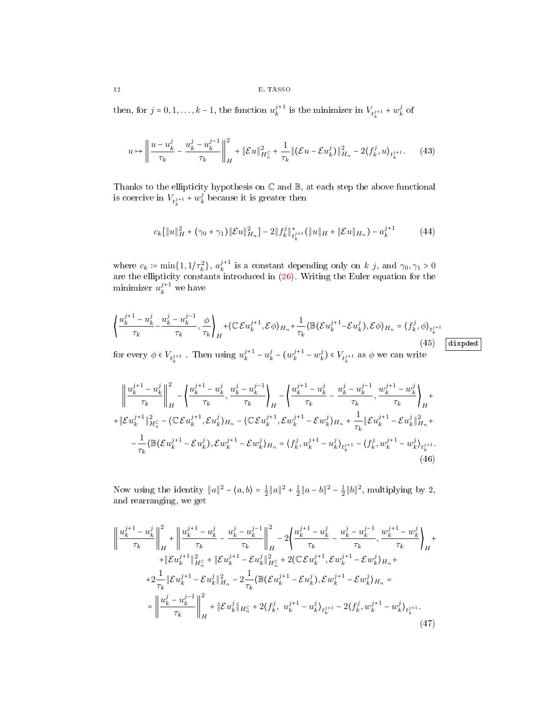then, for  $j = 0, 1, ..., k - 1$ , the function  $u_k^{j+1}$  is the minimizer in  $V_{t_k^{j+1}} + w_k^j$  of

$$
u \mapsto \left\| \frac{u - u_k^j}{\tau_k} - \frac{u_k^j - u_k^{j-1}}{\tau_k} \right\|_{H}^2 + \|\mathcal{E}u\|_{H_n^{\mathbb{C}}}^2 + \frac{1}{\tau_k} \|(\mathcal{E}u - \mathcal{E}u_k^j)\|_{H_n}^2 - 2\langle f_k^j, u \rangle_{t_k^{j+1}}.\tag{43}
$$

Thanks to the ellipticity hypothesis on  $\mathbb C$  and  $\mathbb B,$  at each step the above functional is coercive in  $V_{t_k^{j+1}} + w_k^j$  because it is greater then

$$
c_k[\|u\|_H^2 + (\gamma_0 + \gamma_1) \|\mathcal{E}u\|_{H_n}^2] - 2\|f_k^j\|_{L^{s+1}_k}^*(\|u\|_H + \|\mathcal{E}u\|_{H_n}) - a_k^{j+1} \tag{44}
$$

where  $c_k := \min\{1, 1/\tau_k^2\}$ ,  $a_k^{j+1}$  is a constant depending only on k j, and  $\gamma_0, \gamma_1 > 0$ are the ellipticity constants introduced in [\(26\)](#page-9-6). Writing the Euler equation for the minimizer  $u_k^{j+1}$  we have

<span id="page-11-0"></span>
$$
\left\{\frac{u_k^{j+1} - u_k^j}{\tau_k} - \frac{u_k^j - u_k^{j-1}}{\tau_k}, \frac{\phi}{\tau_k}\right\}_H + \left\{\mathbb{C}\mathcal{E}u_k^{j+1}, \mathcal{E}\phi\right\}_{H_n} + \frac{1}{\tau_k}\left\{\mathbb{B}(\mathcal{E}u_k^{j+1} - \mathcal{E}u_k^j), \mathcal{E}\phi\right\}_{H_n} = \left\{\frac{f_k^j}{f_k^j}, \phi\right\}_{t_k^{j+1}}
$$
\n(45) [disped]  
\nfor every  $\phi \in V_{i+1}$ . Then using  $u_i^{j+1} - u_i^j - (w_i^{j+1} - w_i^j) \in V_{i+1}$  as  $\phi$  we can write

for every  $\phi \in V_{t_k^{j+1}}$  . Then using  $u_k^{j+1} - u_k^j - (w_k^{j+1} - w_k^j) \in V_{t_k^{j+1}}$  as  $\phi$  we can write

$$
\left\| \frac{u_k^{j+1} - u_k^j}{\tau_k} \right\|_H^2 - \left\{ \frac{u_k^{j+1} - u_k^j}{\tau_k}, \frac{u_k^j - u_k^{j-1}}{\tau_k} \right\}_H - \left\{ \frac{u_k^{j+1} - u_k^j}{\tau_k} - \frac{u_k^j - u_k^{j-1}}{\tau_k}, \frac{w_k^{j+1} - w_k^j}{\tau_k} \right\}_H + \right\}
$$
  
+  $\|\mathcal{E}u_k^{j+1}\|_{H_n^c}^2 - \langle \mathbb{C}\mathcal{E}u_k^{j+1}, \mathcal{E}u_k^j \rangle_{H_n} - \langle \mathbb{C}\mathcal{E}u_k^{j+1}, \mathcal{E}w_k^{j+1} - \mathcal{E}w_k^j \rangle_{H_n} + \frac{1}{\tau_k} \|\mathcal{E}u_k^{j+1} - \mathcal{E}u_k^j\|_{H_n}^2 + \right.$   
-  $\frac{1}{\tau_k} \langle \mathbb{B}(\mathcal{E}u_k^{j+1} - \mathcal{E}u_k^j), \mathcal{E}w_k^{j+1} - \mathcal{E}w_k^j \rangle_{H_n} = \langle f_k^j, u_k^{j+1} - u_k^j \rangle_{t_k^{j+1}} - \langle f_k^j, w_k^{j+1} - w_k^j \rangle_{t_k^{j+1}}.$   
(46)

Now using the identity  $||a||^2 - \langle a, b \rangle = \frac{1}{2} ||a||^2 + \frac{1}{2} ||a - b||^2 - \frac{1}{2} ||b||^2$ , multiplying by 2, and rearranging, we get

$$
\left\| \frac{u_k^{j+1} - u_k^j}{\tau_k} \right\|_H^2 + \left\| \frac{u_k^{j+1} - u_k^j}{\tau_k} - \frac{u_k^j - u_k^{j-1}}{\tau_k} \right\|_H^2 - 2 \left\{ \frac{u_k^{j+1} - u_k^j}{\tau_k} - \frac{u_k^j - u_k^{j-1}}{\tau_k}, \frac{w_k^{j+1} - w_k^j}{\tau_k} \right\}_H + \right\| \mathcal{E} u_k^{j+1} \|_{H_\alpha^c}^2 + \|\mathcal{E} u_k^{j+1} - \mathcal{E} u_k^j \|_{H_\alpha^c}^2 + 2 \langle \mathbb{C} \mathcal{E} u_k^{j+1}, \mathcal{E} w_k^{j+1} - \mathcal{E} w_k^j \rangle_{H_n} + \right. \\ \left. + 2 \frac{1}{\tau_k} \|\mathcal{E} u_k^{j+1} - \mathcal{E} u_k^j \|_{H_n}^2 - 2 \frac{1}{\tau_k} \langle \mathbb{B} (\mathcal{E} u_k^{j+1} - \mathcal{E} u_k^j), \mathcal{E} w_k^{j+1} - \mathcal{E} w_k^j \rangle_{H_n} = \right. \\ \left. - \left\| \frac{u_k^j - u_k^{j-1}}{\tau_k} \right\|_H^2 + \|\mathcal{E} u_k^j \|_{H_n^c} + 2 \langle f_k^j, u_k^{j+1} - u_k^j \rangle_{t_k^{j+1}} - 2 \langle f_k^j, w_k^{j+1} - w_k^j \rangle_{t_k^{j+1}}. \right. \tag{47}
$$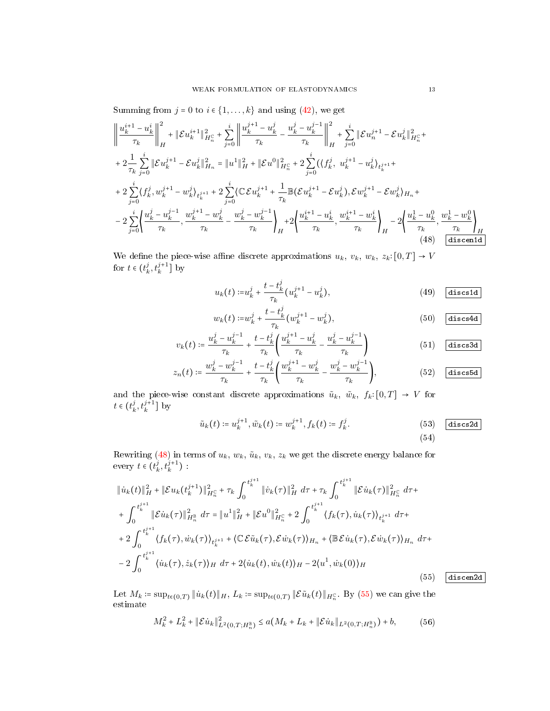Summing from  $j = 0$  to  $i \in \{1, ..., k\}$  and using [\(42\)](#page-10-2), we get

<span id="page-12-0"></span>
$$
\left\| \frac{u_k^{i+1} - u_k^i}{\tau_k} \right\|_H^2 + \|\mathcal{E}u_k^{i+1}\|_{H_n^c}^2 + \sum_{j=0}^i \left\| \frac{u_k^{j+1} - u_k^j}{\tau_k} - \frac{u_k^j - u_k^{j-1}}{\tau_k} \right\|_H^2 + \sum_{j=0}^i \|\mathcal{E}u_n^{j+1} - \mathcal{E}u_k^j\|_{H_n^c}^2 +
$$
  
+  $2\frac{1}{\tau_k} \sum_{j=0}^i \|\mathcal{E}u_k^{j+1} - \mathcal{E}u_k^j\|_{H_n}^2 = \|u^1\|_H^2 + \|\mathcal{E}u^0\|_{H_n^c}^2 + 2\sum_{j=0}^i (\langle f_k^j, u_k^{j+1} - u_k^j \rangle_{t_k^{j+1}} +$   
+  $2\sum_{j=0}^i (\langle f_k^j, u_k^{j+1} - u_k^j \rangle_{t_k^{j+1}} + 2\sum_{j=0}^i (\langle \mathcal{E}u_k^{j+1} + \frac{1}{\tau_k} \mathbb{B}(\mathcal{E}u_k^{j+1} - \mathcal{E}u_k^j), \mathcal{E}w_k^{j+1} - \mathcal{E}w_k^j \rangle_{H_n} +$   
-  $2\sum_{j=0}^i \left\{ \frac{u_k^j - u_k^{j-1}}{\tau_k}, \frac{w_k^{j+1} - w_k^j}{\tau_k} - \frac{w_k^j - w_k^{j-1}}{\tau_k} \right\}_H + 2\left\{ \frac{u_k^{i+1} - u_k^i}{\tau_k}, \frac{w_k^{i+1} - w_k^i}{\tau_k} \right\}_H - 2\left\{ \frac{u_k^1 - u_k^0}{\tau_k}, \frac{w_k^1 - w_k^0}{\tau_k} \right\}_H$   
(48)  $\frac{u_k^{i+1} - u_k^{i+1}}{\| \mathbb{B}(\mathbb{E}u_k^{i+1} - \mathbb{E}u_k^{j+1})} + 2\left\{ \frac{u_k^{i+1} - u_k^{i+1}}{\tau_k}, \frac{u_k^{i+1} - u_k^{j+1}}{\tau_k} \right\}_H$ 

We define the piece-wise affine discrete approximations  $u_k$ ,  $v_k$ ,  $w_k$ ,  $z_k: [0, T] \rightarrow V$ for  $t \in (t_k^j, t_k^{j+1}]$  by

<span id="page-12-2"></span>
$$
u_k(t) := u_k^j + \frac{t - t_k^j}{\tau_k} (u_k^{j+1} - u_k^j),
$$
 (49) diss

<span id="page-12-3"></span>
$$
w_k(t) := w_k^j + \frac{t - t_k^j}{\tau_k} (w_k^{j+1} - w_k^j),
$$
 (50) discsd

$$
v_k(t) \coloneqq \frac{u_k^j - u_k^{j-1}}{\tau_k} + \frac{t - t_k^j}{\tau_k} \left( \frac{u_k^{j+1} - u_k^j}{\tau_k} - \frac{u_k^j - u_k^{j-1}}{\tau_k} \right) \tag{51}
$$

$$
z_n(t) \coloneqq \frac{w_k^j - w_k^{j-1}}{\tau_k} + \frac{t - t_k^j}{\tau_k} \left( \frac{w_k^{j+1} - w_k^j}{\tau_k} - \frac{w_k^j - w_k^{j-1}}{\tau_k} \right), \tag{52}
$$

and the piece-wise constant discrete approximations  $\tilde{u}_k$ ,  $\tilde{w}_k$ ,  $f_k: [0, T] \rightarrow V$  for  $t \in (t_k^j, t_k^{j+1}]$  by

$$
\tilde{u}_k(t) \coloneqq u_k^{j+1}, \tilde{w}_k(t) \coloneqq w_k^{j+1}, f_k(t) \coloneqq f_k^j. \tag{53} \quad \text{(53)} \quad \text{(discs2d)} \tag{54}
$$

Rewriting [\(48\)](#page-12-0) in terms of  $u_k, w_k, \tilde{u}_k, v_k, z_k$  we get the discrete energy balance for every  $t \in (t_k^j, t_k^{j+1})$ .

<span id="page-12-1"></span>
$$
\|\dot{u}_{k}(t)\|_{H}^{2} + \|\mathcal{E}u_{k}(t_{k}^{j+1})\|_{H_{n}^{c}}^{2} + \tau_{k} \int_{0}^{t_{k}^{j+1}} \|\dot{v}_{k}(\tau)\|_{H}^{2} d\tau + \tau_{k} \int_{0}^{t_{k}^{j+1}} \|\mathcal{E}\dot{u}_{k}(\tau)\|_{H_{n}^{c}}^{2} d\tau +
$$
  
+ 
$$
\int_{0}^{t_{k}^{j+1}} \|\mathcal{E}\dot{u}_{k}(\tau)\|_{H_{n}^{s}}^{2} d\tau = \|u^{1}\|_{H}^{2} + \|\mathcal{E}u^{0}\|_{H_{n}^{c}}^{2} + 2 \int_{0}^{t_{k}^{j+1}} \langle f_{k}(\tau), \dot{u}_{k}(\tau) \rangle_{t_{k}^{j+1}} d\tau +
$$
  
+ 
$$
2 \int_{0}^{t_{k}^{j+1}} \langle f_{k}(\tau), \dot{w}_{k}(\tau) \rangle_{t_{k}^{j+1}} + \langle \mathbb{C} \mathcal{E}\tilde{u}_{k}(\tau), \mathcal{E}\dot{w}_{k}(\tau) \rangle_{H_{n}} + \langle \mathbb{B} \mathcal{E}\dot{u}_{k}(\tau), \mathcal{E}\dot{w}_{k}(\tau) \rangle_{H_{n}} d\tau +
$$
  
- 
$$
2 \int_{0}^{t_{k}^{j+1}} \langle \dot{u}_{k}(\tau), \dot{z}_{k}(\tau) \rangle_{H} d\tau + 2 \langle \dot{u}_{k}(t), \dot{w}_{k}(t) \rangle_{H} - 2 \langle u^{1}, \dot{w}_{k}(0) \rangle_{H}
$$
(55)

Let  $M_k = \sup_{t \in (0,T)} \| \dot{u}_k(t) \|_H$ ,  $L_k = \sup_{t \in (0,T)} \| \mathcal{E} \tilde{u}_k(t) \|_{H_n^{\mathbb{C}}}$ . By [\(55\)](#page-12-1) we can give the estimate

$$
M_k^2 + L_k^2 + \|\mathcal{E}\dot{u}_k\|_{L^2(0,T;H_n^{\mathbb{B}})}^2 \le a(M_k + L_k + \|\mathcal{E}\dot{u}_k\|_{L^2(0,T;H_n^{\mathbb{B}})}) + b,\tag{56}
$$

<span id="page-12-4"></span> $discen2d$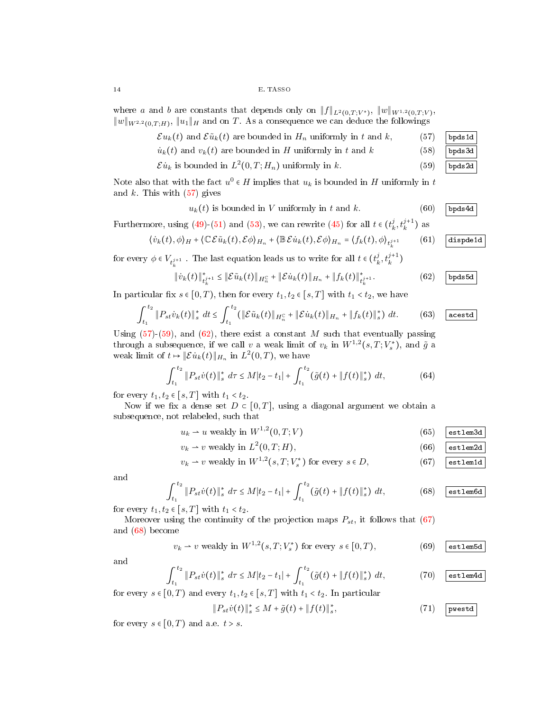where a and b are constants that depends only on  $||f||_{L^2(0,T;V^*)}$ ,  $||w||_{W^{1,2}(0,T;V)}$ ,  $||w||_{W^{2,2}(0,T;H)}$ ,  $||u_1||_H$  and on T. As a consequence we can deduce the followings

 $\mathcal{E} u_k(t)$  and  $\mathcal{E} \tilde{u}_k(t)$  are bounded in  $H_n$  uniformly in t and k, (57) bpds1d

$$
\dot{u}_k(t) \text{ and } v_k(t) \text{ are bounded in } H \text{ uniformly in } t \text{ and } k \tag{58}
$$

$$
\mathcal{E}u_k
$$
 is bounded in  $L^2(0,T;H_n)$  uniformly in k. (59) [bps2d]

Note also that with the fact  $u^0 \in H$  implies that  $u_k$  is bounded in H uniformly in t and  $k$ . This with  $(57)$  gives

$$
u_k(t) \text{ is bounded in } V \text{ uniformly in } t \text{ and } k. \tag{60} \boxed{\text{bps4d}}
$$

Furthermore, using [\(49\)](#page-12-2)-[\(51\)](#page-12-3) and [\(53\)](#page-12-4), we can rewrite [\(45\)](#page-11-0) for all  $t \in (t_k^j, t_k^{j+1})$  as

<span id="page-13-10"></span>
$$
\langle \dot{v}_k(t), \phi \rangle_H + \langle \mathbb{C} \mathcal{E} \tilde{u}_k(t), \mathcal{E} \phi \rangle_{H_n} + \langle \mathbb{B} \mathcal{E} \dot{u}_k(t), \mathcal{E} \phi \rangle_{H_n} = \langle f_k(t), \phi \rangle_{t_k^{j+1}} \qquad (61) \quad \boxed{\text{dispeded}}
$$

for every  $\phi \in V_{t_k^{j+1}}$ . The last equation leads us to write for all  $t \in (t_k^j, t_k^{j+1})$ 

<span id="page-13-2"></span>
$$
\| \dot{v}_k(t) \|_{\dot{t}_k^{j+1}}^* \le \| \mathcal{E} \tilde{u}_k(t) \|_{H_n^C} + \| \mathcal{E} \dot{u}_k(t) \|_{H_n} + \| f_k(t) \|_{\dot{t}_k^{j+1}}^*.
$$
 (62) ~~b~~pds5d

In particular fix  $s \in [0, T)$ , then for every  $t_1, t_2 \in [s, T]$  with  $t_1 < t_2$ , we have

$$
\int_{t_1}^{t_2} \|P_{st}\dot{v}_k(t)\|_{s}^{*} \ dt \leq \int_{t_1}^{t_2} (\|\mathcal{E}\tilde{u}_k(t)\|_{H_n^{\mathbb{C}}} + \|\mathcal{E}\dot{u}_k(t)\|_{H_n} + \|f_k(t)\|_{s}^{*}) \ dt. \tag{63}
$$

Using  $(57)-(59)$  $(57)-(59)$  $(57)-(59)$ , and  $(62)$ , there exist a constant M such that eventually passing through a subsequence, if we call v a weak limit of  $v_k$  in  $W^{1,2}(s,T;V_s^*)$ , and  $\tilde{g}$  a weak limit of  $t \mapsto \|\mathcal{E} u_k(t)\|_{H_n}$  in  $L^2(0,T)$ , we have

$$
\int_{t_1}^{t_2} \|P_{st}\dot{v}(t)\|_{s}^{*} d\tau \le M|t_2 - t_1| + \int_{t_1}^{t_2} (\tilde{g}(t) + \|f(t)\|_{s}^{*}) dt,
$$
\n(64)

for every  $t_1, t_2 \in [s, T]$  with  $t_1 < t_2$ .

Now if we fix a dense set  $D \subset [0, T]$ , using a diagonal argument we obtain a subsequence, not relabeled, such that

<span id="page-13-6"></span>
$$
u_k \rightharpoonup u \text{ weakly in } W^{1,2}(0,T;V) \tag{65} \boxed{\text{estlem3d}}
$$

<span id="page-13-7"></span><span id="page-13-3"></span>
$$
v_k \rightharpoonup v \text{ weakly in } L^2(0, T; H), \tag{66}
$$

$$
v_k \rightharpoonup v \text{ weakly in } W^{1,2}(s,T;V_s^*) \text{ for every } s \in D,
$$
\n
$$
(67) \quad \text{estlem1d}
$$

and

<span id="page-13-4"></span>
$$
\int_{t_1}^{t_2} \|P_{st}\dot{v}(t)\|_{s}^{*} d\tau \leq M|t_2 - t_1| + \int_{t_1}^{t_2} (\tilde{g}(t) + \|f(t)\|_{s}^{*}) dt, \tag{68}
$$
  $\boxed{\text{est1em6d}}$ 

for every  $t_1, t_2 \in [s, T]$  with  $t_1 < t_2$ .

Moreover using the continuity of the projection maps  $P_{st}$ , it follows that [\(67\)](#page-13-3) and [\(68\)](#page-13-4) become

$$
v_k \rightharpoonup v \text{ weakly in } W^{1,2}(s,T;V_s^*) \text{ for every } s \in [0,T), \tag{69}
$$

and

<span id="page-13-8"></span>
$$
\int_{t_1}^{t_2} \|P_{st}\dot{v}(t)\|_s^* d\tau \le M|t_2 - t_1| + \int_{t_1}^{t_2} (\tilde{g}(t) + \|f(t)\|_s^*) dt, \tag{70} \quad \boxed{\text{estlem4d}}
$$

for every  $s \in [0, T)$  and every  $t_1, t_2 \in [s, T]$  with  $t_1 < t_2$ . In particular

<span id="page-13-9"></span>
$$
||P_{st}\dot{v}(t)||_{s}^{*} \leq M + \tilde{g}(t) + ||f(t)||_{s}^{*},
$$
\n(71) [pwestd]

for every  $s \in [0, T)$  and a.e.  $t > s$ .

<span id="page-13-5"></span><span id="page-13-1"></span><span id="page-13-0"></span>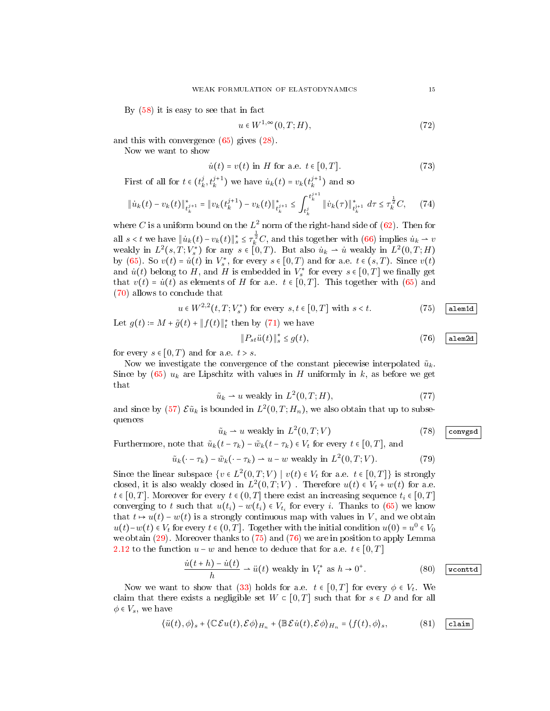By [\(58\)](#page-13-5) it is easy to see that in fact

$$
u \in W^{1,\infty}(0,T;H),\tag{72}
$$

and this with convergence [\(65\)](#page-13-6) gives [\(28\)](#page-9-1).

Now we want to show

$$
\dot{u}(t) = v(t) \text{ in } H \text{ for a.e. } t \in [0, T]. \tag{73}
$$

First of all for  $t \in (t_k^j, t_k^{j+1})$  we have  $\dot{u}_k(t) = v_k(t_k^{j+1})$  and so

$$
\|\dot{u}_k(t) - v_k(t)\|_{\dot{t}_k^{j+1}}^* = \|v_k(t_k^{j+1}) - v_k(t)\|_{\dot{t}_k^{j+1}}^* \leq \int_{t_k^j}^{t_k^{j+1}} \|\dot{v}_k(\tau)\|_{\dot{t}_k^{j+1}}^* d\tau \leq \tau_k^{\frac{1}{2}} C, \qquad (74)
$$

where C is a uniform bound on the  $L^2$  norm of the right-hand side of [\(62\)](#page-13-2). Then for all  $s < t$  we have  $||\dot{u}_k(t) - v_k(t)||_s^* \leq \tau_k^{\frac{1}{2}} C$ , and this together with [\(66\)](#page-13-7) implies  $\dot{u}_k \to v$ weakly in  $L^2(s,T;V^*_s)$  for any  $s \in [0,T)$ . But also  $\dot{u}_k \to \dot{u}$  weakly in  $L^2(0,T;H)$ by [\(65\)](#page-13-6). So  $v(t) = \dot{u}(t)$  in  $V_s^*$ , for every  $s \in [0, T)$  and for a.e.  $t \in (s, T)$ . Since  $v(t)$ and  $\dot{u}(t)$  belong to H, and H is embedded in  $V_s^*$  for every  $s \in [0,T]$  we finally get that  $v(t) = \dot{u}(t)$  as elements of H for a.e.  $t \in [0, T]$ . This together with [\(65\)](#page-13-6) and [\(70\)](#page-13-8) allows to conclude that

<span id="page-14-0"></span>
$$
u \in W^{2,2}(t, T; V_s^*) \text{ for every } s, t \in [0, T] \text{ with } s < t. \tag{75}
$$

Let  $g(t) \coloneqq M + \tilde{g}(t) + ||f(t)||_t^*$  then by [\(71\)](#page-13-9) we have

<span id="page-14-1"></span>
$$
||P_{st}\ddot{u}(t)||_{s}^{*} \le g(t), \qquad (76) \quad \text{alem2d}
$$

for every  $s \in [0, T)$  and for a.e.  $t > s$ .

Now we investigate the convergence of the constant piecewise interpolated  $\tilde{u}_k$ . Since by  $(65)$   $u_k$  are Lipschitz with values in H uniformly in k, as before we get that

$$
\tilde{u}_k \rightharpoonup u \text{ weakly in } L^2(0, T; H),\tag{77}
$$

and since by [\(57\)](#page-13-0)  $\mathcal{E} \tilde{u}_k$  is bounded in  $L^2(0,T;H_n)$ , we also obtain that up to subsequences

<span id="page-14-2"></span>
$$
\tilde{u}_k \rightharpoonup u \text{ weakly in } L^2(0, T; V) \tag{78}
$$

Furthermore, note that  $\tilde{u}_k(t - \tau_k) - \tilde{w}_k(t - \tau_k) \in V_t$  for every  $t \in [0, T]$ , and

$$
\tilde{u}_k(\cdot - \tau_k) - \tilde{w}_k(\cdot - \tau_k) \rightharpoonup u - w \text{ weakly in } L^2(0, T; V). \tag{79}
$$

Since the linear subspace  $\{v \in L^2(0,T;V) \mid v(t) \in V_t \text{ for a.e. } t \in [0,T] \}$  is strongly closed, it is also weakly closed in  $L^2(0,T;V)$ . Therefore  $u(t) \in V_t + w(t)$  for a.e.  $t \in [0, T]$ . Moreover for every  $t \in (0, T]$  there exist an increasing sequence  $t_i \in [0, T]$ converging to t such that  $u(t_i) - w(t_i) \in V_{t_i}$  for every i. Thanks to [\(65\)](#page-13-6) we know that  $t \mapsto u(t) - w(t)$  is a strongly continuous map with values in V, and we obtain  $u(t)-w(t) \in V_t$  for every  $t \in (0,T]$ . Together with the initial condition  $u(0) = u^0 \in V_0$ we obtain [\(29\)](#page-9-7). Moreover thanks to [\(75\)](#page-14-0) and [\(76\)](#page-14-1) we are in position to apply Lemma [2.12](#page-7-2) to the function  $u - w$  and hence to deduce that for a.e.  $t \in [0, T]$ 

$$
\frac{\dot{u}(t+h) - \dot{u}(t)}{h} \rightharpoonup \ddot{u}(t) \text{ weakly in } V_t^* \text{ as } h \to 0^+.
$$
 (80)  $\boxed{\text{wcontd}}$ 

Now we want to show that [\(33\)](#page-9-4) holds for a.e.  $t \in [0,T]$  for every  $\phi \in V_t$ . We claim that there exists a negligible set  $W \subset [0,T]$  such that for  $s \in D$  and for all  $\phi \in V_s$ , we have

<span id="page-14-3"></span>
$$
\langle \ddot{u}(t), \phi \rangle_s + \langle \mathbb{C}\mathcal{E}u(t), \mathcal{E}\phi \rangle_{H_n} + \langle \mathbb{B}\mathcal{E}\dot{u}(t), \mathcal{E}\phi \rangle_{H_n} = \langle f(t), \phi \rangle_s, \tag{81}
$$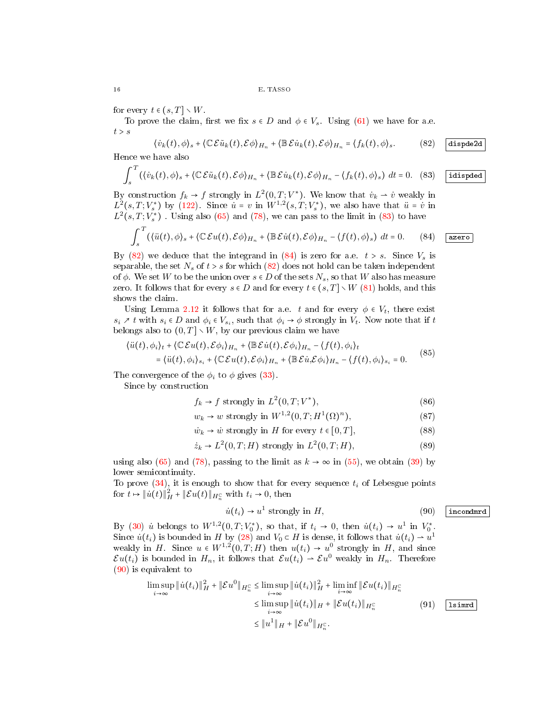for every  $t \in (s, T] \setminus W$ .

To prove the claim, first we fix  $s \in D$  and  $\phi \in V_s$ . Using [\(61\)](#page-13-10) we have for a.e.  $t > s$ 

<span id="page-15-1"></span>
$$
\langle \dot{v}_k(t), \phi \rangle_s + \langle \mathbb{C} \mathcal{E} \tilde{u}_k(t), \mathcal{E} \phi \rangle_{H_n} + \langle \mathbb{B} \mathcal{E} \dot{u}_k(t), \mathcal{E} \phi \rangle_{H_n} = \langle f_k(t), \phi \rangle_s. \tag{82}
$$

Hence we have also

<span id="page-15-0"></span>
$$
\int_{s}^{T} (\langle \dot{v}_{k}(t), \phi \rangle_{s} + \langle \mathbb{C} \mathcal{E} \tilde{u}_{k}(t), \mathcal{E} \phi \rangle_{H_{n}} + \langle \mathbb{B} \mathcal{E} \dot{u}_{k}(t), \mathcal{E} \phi \rangle_{H_{n}} - \langle f_{k}(t), \phi \rangle_{s}) dt = 0.
$$
 (83) idisped

By construction  $f_k \to f$  strongly in  $L^2(0,T;V^*)$ . We know that  $\dot{v}_k \to \dot{v}$  weakly in  $L^2(s,T;V^*_s)$  by [\(122\)](#page-20-0). Since  $\dot{u} = v$  in  $W^{1,2}(s,T;V^*_s)$ , we also have that  $\ddot{u} = \dot{v}$  in  $L^2(s,T;V^*_s)$  . Using also [\(65\)](#page-13-6) and [\(78\)](#page-14-2), we can pass to the limit in [\(83\)](#page-15-0) to have

<span id="page-15-2"></span>
$$
\int_{s}^{T} (\langle \ddot{u}(t), \phi \rangle_{s} + \langle \mathbb{C} \mathcal{E} u(t), \mathcal{E} \phi \rangle_{H_{n}} + \langle \mathbb{B} \mathcal{E} \dot{u}(t), \mathcal{E} \phi \rangle_{H_{n}} - \langle f(t), \phi \rangle_{s}) \ dt = 0. \qquad (84)
$$
 (a zero)

By  $(82)$  we deduce that the integrand in  $(84)$  is zero for a.e.  $t > s$ . Since  $V_s$  is separable, the set  $N_s$  of  $t > s$  for which  $(82)$  does not hold can be taken independent of  $\phi$ . We set W to be the union over  $s \in D$  of the sets  $N_s$ , so that W also has measure zero. It follows that for every  $s \in D$  and for every  $t \in (s, T] \setminus W$  [\(81\)](#page-14-3) holds, and this shows the claim.

Using Lemma [2.12](#page-7-2) it follows that for a.e. t and for every  $\phi \in V_t$ , there exist  $s_i \nearrow t$  with  $s_i \in D$  and  $\phi_i \in V_{s_i}$ , such that  $\phi_i \rightarrow \phi$  strongly in  $V_t$ . Now note that if t belongs also to  $(0, T] \setminus W$ , by our previous claim we have

$$
\langle \ddot{u}(t), \phi_i \rangle_t + \langle \mathbb{C} \mathcal{E} u(t), \mathcal{E} \phi_i \rangle_{H_n} + \langle \mathbb{B} \mathcal{E} \dot{u}(t), \mathcal{E} \phi_i \rangle_{H_n} - \langle f(t), \phi_i \rangle_t
$$
  
= 
$$
\langle \ddot{u}(t), \phi_i \rangle_{s_i} + \langle \mathbb{C} \mathcal{E} u(t), \mathcal{E} \phi_i \rangle_{H_n} + \langle \mathbb{B} \mathcal{E} \dot{u}, \mathcal{E} \phi_i \rangle_{H_n} - \langle f(t), \phi_i \rangle_{s_i} = 0.
$$
 (85)

The convergence of the  $\phi_i$  to  $\phi$  gives [\(33\)](#page-9-4).

Since by construction

$$
f_k \to f \text{ strongly in } L^2(0, T; V^*), \tag{86}
$$

 $w_k \to w$  strongly in  $W^{1,2}(0,T;H^1(\Omega))^n$  $(87)$ 

$$
\dot{w}_k \to \dot{w} \text{ strongly in } H \text{ for every } t \in [0, T], \tag{88}
$$

$$
\dot{z}_k \to L^2(0, T; H) \text{ strongly in } L^2(0, T; H), \tag{89}
$$

using also [\(65\)](#page-13-6) and [\(78\)](#page-14-2), passing to the limit as  $k \to \infty$  in [\(55\)](#page-12-1), we obtain [\(39\)](#page-10-3) by lower semicontinuity.

To prove  $(34)$ , it is enough to show that for every sequence  $t_i$  of Lebesgue points for  $t \mapsto \|\dot{u}(t)\|_{H}^2 + \|\mathcal{E}u(t)\|_{H_n^{\mathbb{C}}}$  with  $t_i \to 0$ , then

<span id="page-15-3"></span>
$$
\dot{u}(t_i) \to u^1 \text{ strongly in } H,
$$
\n(90) incondmrd

By [\(30\)](#page-9-8) *u*<sup>i</sup> belongs to  $W^{1,2}(0,T;V_0^*)$ , so that, if  $t_i \to 0$ , then  $\dot{u}(t_i) \to u^1$  in  $V_0^*$ . Since  $\dot{u}(t_i)$  is bounded in H by [\(28\)](#page-9-1) and  $V_0 \subset H$  is dense, it follows that  $\dot{u}(t_i) \to u^1$ weakly in H. Since  $u \in W^{1,2}(0,T;H)$  then  $u(t_i) \to u^0$  strongly in H, and since  $\mathcal{E}u(t_i)$  is bounded in  $H_n$ , it follows that  $\mathcal{E}u(t_i) \rightharpoonup \mathcal{E}u^0$  weakly in  $H_n$ . Therefore [\(90\)](#page-15-3) is equivalent to

<span id="page-15-4"></span>
$$
\limsup_{i \to \infty} \|\dot{u}(t_i)\|_{H}^{2} + \|\mathcal{E}u^{0}\|_{H_n^{\mathbb{C}}} \leq \limsup_{i \to \infty} \|\dot{u}(t_i)\|_{H}^{2} + \liminf_{i \to \infty} \|\mathcal{E}u(t_i)\|_{H_n^{\mathbb{C}}}
$$
\n
$$
\leq \limsup_{i \to \infty} \|\dot{u}(t_i)\|_{H} + \|\mathcal{E}u(t_i)\|_{H_n^{\mathbb{C}}} \tag{91} \quad \boxed{\text{Isimrd}}
$$
\n
$$
\leq \|u^1\|_{H} + \|\mathcal{E}u^{0}\|_{H_n^{\mathbb{C}}}.
$$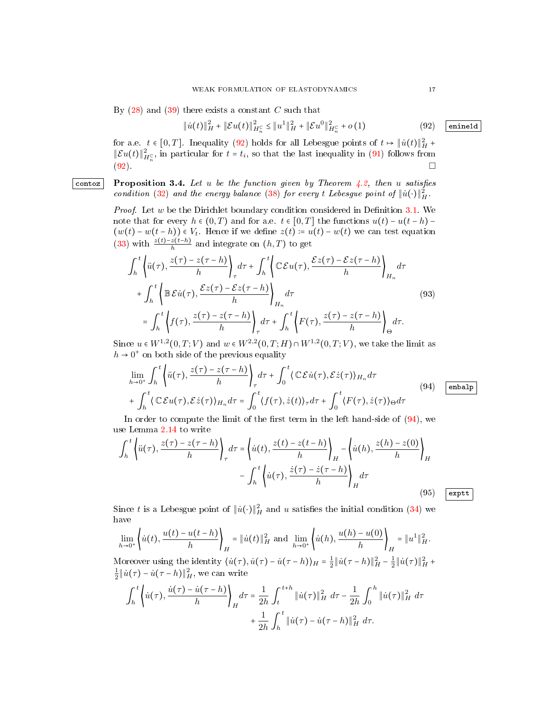By  $(28)$  and  $(39)$  there exists a constant C such that

<span id="page-16-1"></span>
$$
\|\dot{u}(t)\|_{H}^2+\|\mathcal{E}u(t)\|_{H_n^{\mathbb{C}}}^2 \leq \|u^1\|_{H}^2+\|\mathcal{E}u^0\|_{H_n^{\mathbb{C}}}^2+o\left(1\right)
$$

for a.e.  $t \in [0,T]$ . Inequality [\(92\)](#page-16-1) holds for all Lebesgue points of  $t \mapsto ||\dot{u}(t)||_H^2 +$  $||\mathcal{E}u(t)||_{H_n^C}^2$ , in particular for  $t = t_i$ , so that the last inequality in [\(91\)](#page-15-4) follows from  $(92)$ .

contoz Proposition 3.4. Let u be the function given by Theorem  $\angle 4.2$ , then u satisfies condition [\(32\)](#page-9-9) and the energy balance [\(38\)](#page-10-1) for every t Lebesgue point of  $\|\dot{u}(\cdot)\|_{H}^{2}$ .

> <span id="page-16-0"></span>*Proof.* Let  $w$  be the Dirichlet boundary condition considered in Definition [3.1.](#page-9-3) We note that for every  $h \in (0,T)$  and for a.e.  $t \in [0,T]$  the functions  $u(t) - u(t-h)$  $(w(t) - w(t - h)) \in V_t$ . Hence if we define  $z(t) = u(t) - w(t)$  we can test equation [\(33\)](#page-9-4) with  $\frac{z(t)-z(t-h)}{h}$  and integrate on  $(h, T)$  to get

$$
\int_{h}^{t} \left\{ \ddot{u}(\tau), \frac{z(\tau) - z(\tau - h)}{h} \right\}_{\tau} d\tau + \int_{h}^{t} \left\{ \mathbb{C} \mathcal{E} u(\tau), \frac{\mathcal{E} z(\tau) - \mathcal{E} z(\tau - h)}{h} \right\}_{H_{n}} d\tau
$$
\n
$$
+ \int_{h}^{t} \left\{ \mathbb{B} \mathcal{E} \dot{u}(\tau), \frac{\mathcal{E} z(\tau) - \mathcal{E} z(\tau - h)}{h} \right\}_{H_{n}} d\tau
$$
\n
$$
= \int_{h}^{t} \left\{ f(\tau), \frac{z(\tau) - z(\tau - h)}{h} \right\}_{\tau} d\tau + \int_{h}^{t} \left\{ F(\tau), \frac{z(\tau) - z(\tau - h)}{h} \right\}_{\Theta} d\tau.
$$
\n(93)\n
$$
= \int_{h}^{t} \left\{ f(\tau), \frac{z(\tau) - z(\tau - h)}{h} \right\}_{\tau} d\tau + \int_{h}^{t} \left\{ F(\tau), \frac{z(\tau) - z(\tau - h)}{h} \right\}_{\Theta} d\tau.
$$

Since  $u \in W^{1,2}(0,T; V)$  and  $w \in W^{2,2}(0,T; H) \cap W^{1,2}(0,T; V)$ , we take the limit as  $h \to 0^+$  on both side of the previous equality

<span id="page-16-2"></span>
$$
\lim_{h \to 0^+} \int_h^t \left\{ \ddot{u}(\tau), \frac{z(\tau) - z(\tau - h)}{h} \right\}_\tau d\tau + \int_0^t \langle \mathbb{C} \mathcal{E} \dot{u}(\tau), \mathcal{E} \dot{z}(\tau) \rangle_{H_n} d\tau
$$
\n
$$
+ \int_h^t \langle \mathbb{C} \mathcal{E} u(\tau), \mathcal{E} \dot{z}(\tau) \rangle_{H_n} d\tau = \int_0^t \langle f(\tau), \dot{z}(t) \rangle_\tau d\tau + \int_0^t \langle F(\tau), \dot{z}(\tau) \rangle_\Theta d\tau
$$
\n(94)  $\boxed{\text{enbalp}}$ 

In order to compute the limit of the first term in the left hand-side of  $(94)$ , we use Lemma [2.14](#page-8-2) to write

<span id="page-16-3"></span>
$$
\int_{h}^{t} \left\langle \ddot{u}(\tau), \frac{z(\tau) - z(\tau - h)}{h} \right\rangle_{\tau} d\tau = \left\langle \dot{u}(t), \frac{z(t) - z(t - h)}{h} \right\rangle_{H} - \left\langle \dot{u}(h), \frac{z(h) - z(0)}{h} \right\rangle_{H}
$$

$$
- \int_{h}^{t} \left\langle \dot{u}(\tau), \frac{\dot{z}(\tau) - \dot{z}(\tau - h)}{h} \right\rangle_{H} d\tau
$$
(95)  $\boxed{\text{exptt}}$ 

Since t is a Lebesgue point of  $\|\dot{u}(\cdot)\|_H^2$  and u satisfies the initial condition [\(34\)](#page-9-5) we have

$$
\lim_{h \to 0^{+}} \left\{ \dot{u}(t), \frac{u(t) - u(t - h)}{h} \right\}_{H} = \|\dot{u}(t)\|_{H}^{2} \text{ and } \lim_{h \to 0^{+}} \left\{ \dot{u}(h), \frac{u(h) - u(0)}{h} \right\}_{H} = \|u^{1}\|_{H}^{2}.
$$
\nMoreover using the identity  $\langle \dot{u}(\tau), \dot{u}(\tau) - \dot{u}(\tau - h) \rangle_{H} = \frac{1}{2} \|\dot{u}(\tau - h)\|_{H}^{2} - \frac{1}{2} \|\dot{u}(\tau)\|_{H}^{2} + \frac{1}{2} \|\dot{u}(\tau) - \dot{u}(\tau - h)\|_{H}^{2},$  we can write\n
$$
\int_{h}^{t} \left\{ \dot{u}(\tau), \frac{\dot{u}(\tau) - \dot{u}(\tau - h)}{h} \right\}_{H} d\tau = \frac{1}{2h} \int_{t}^{t+h} \|\dot{u}(\tau)\|_{H}^{2} d\tau - \frac{1}{2h} \int_{0}^{h} \|\dot{u}(\tau)\|_{H}^{2} d\tau + \frac{1}{2h} \int_{h}^{t} \|\dot{u}(\tau) - \dot{u}(\tau - h)\|_{H}^{2} d\tau.
$$

 $(92)$  enine1d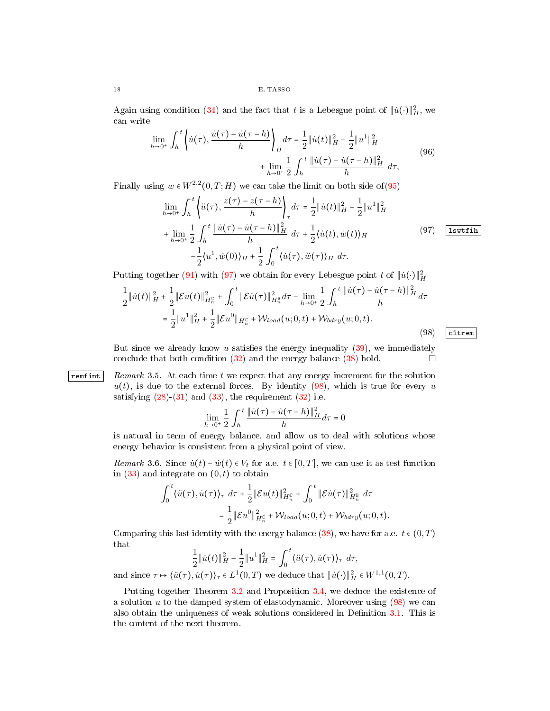Again using condition [\(34\)](#page-9-5) and the fact that t is a Lebesgue point of  $\|\dot{u}(\cdot)\|_H^2$ , we can write

$$
\lim_{h \to 0^{+}} \int_{h}^{t} \left\{ \dot{u}(\tau), \frac{\dot{u}(\tau) - \dot{u}(\tau - h)}{h} \right\}_{H} d\tau = \frac{1}{2} \| \dot{u}(t) \|_{H}^{2} - \frac{1}{2} \| u^{1} \|_{H}^{2}
$$
\n
$$
+ \lim_{h \to 0^{+}} \frac{1}{2} \int_{h}^{t} \frac{\| \dot{u}(\tau) - \dot{u}(\tau - h) \|_{H}^{2}}{h} d\tau,
$$
\n(96)

<span id="page-17-0"></span>Finally using  $w \in W^{2,2}(0,T;H)$  we can take the limit on both side of [\(95\)](#page-16-3)

$$
\lim_{h \to 0^{+}} \int_{h}^{t} \left\langle \ddot{u}(\tau), \frac{z(\tau) - z(\tau - h)}{h} \right\rangle_{\tau} d\tau = \frac{1}{2} ||\dot{u}(t)||_{H}^{2} - \frac{1}{2} ||u^{1}||_{H}^{2}
$$
\n
$$
+ \lim_{h \to 0^{+}} \frac{1}{2} \int_{h}^{t} \frac{||\dot{u}(\tau) - \dot{u}(\tau - h)||_{H}^{2}}{h} d\tau + \frac{1}{2} \langle \dot{u}(t), \dot{w}(t) \rangle_{H}
$$
\n
$$
- \frac{1}{2} \langle u^{1}, \dot{w}(0) \rangle_{H} + \frac{1}{2} \int_{0}^{t} \langle \dot{u}(\tau), \ddot{w}(\tau) \rangle_{H} d\tau.
$$
\n(97)  $\boxed{\text{1swtfin}}$ 

Putting together [\(94\)](#page-16-2) with [\(97\)](#page-17-0) we obtain for every Lebesgue point t of  $\|\dot{u}(\cdot)\|_H^2$ 

<span id="page-17-1"></span>
$$
\frac{1}{2} \|\dot{u}(t)\|_{H}^{2} + \frac{1}{2} \|\mathcal{E}u(t)\|_{H_{n}^{c}}^{2} + \int_{0}^{t} \|\mathcal{E}\dot{u}(\tau)\|_{H_{n}^{B}}^{2} d\tau - \lim_{h \to 0^{+}} \frac{1}{2} \int_{h}^{t} \frac{\|\dot{u}(\tau) - \dot{u}(\tau - h)\|_{H}^{2}}{h} d\tau
$$
\n
$$
= \frac{1}{2} \|u^{1}\|_{H}^{2} + \frac{1}{2} \|\mathcal{E}u^{0}\|_{H_{n}^{c}} + \mathcal{W}_{load}(u; 0, t) + \mathcal{W}_{bdry}(u; 0, t).
$$
\n(98)  $\boxed{\text{circ}}$ 

But since we already know u satisfies the energy inequality  $(39)$ , we immediately conclude that both condition  $(32)$  and the energy balance  $(38)$  hold.

## remeding remark 3.5. At each time t we expect that any energy increment for the solution  $u(t)$ , is due to the external forces. By identity [\(98\)](#page-17-1), which is true for every u satisfying  $(28)-(31)$  $(28)-(31)$  $(28)-(31)$  and  $(33)$ , the requirement  $(32)$  i.e.

$$
\lim_{h\rightarrow 0^+}\frac{1}{2}\int_h^t\frac{\|\dot u(\tau)-\dot u(\tau-h)\|_H^2}{h}d\tau=0
$$

is natural in term of energy balance, and allow us to deal with solutions whose energy behavior is consistent from a physical point of view.

Remark 3.6. Since  $\dot{u}(t) - \dot{w}(t) \in V_t$  for a.e.  $t \in [0, T]$ , we can use it as test function in  $(33)$  and integrate on  $(0, t)$  to obtain

$$
\int_0^t \langle \ddot{u}(\tau), \dot{u}(\tau) \rangle_\tau \, d\tau + \frac{1}{2} \|\mathcal{E}u(t)\|_{H_n^c}^2 + \int_0^t \|\mathcal{E}\dot{u}(\tau)\|_{H_n^{\mathbb{B}}}^2 \, d\tau
$$
  

$$
= \frac{1}{2} \|\mathcal{E}u^0\|_{H_n^c}^2 + \mathcal{W}_{load}(u; 0, t) + \mathcal{W}_{bdry}(u; 0, t).
$$

Comparing this last identity with the energy balance  $(38)$ , we have for a.e.  $t \in (0, T)$ that

$$
\frac{1}{2} \|\dot{u}(t)\|_{H}^{2} - \frac{1}{2} \|u^{1}\|_{H}^{2} = \int_{0}^{t} \langle \ddot{u}(\tau), \dot{u}(\tau) \rangle_{\tau} d\tau,
$$

and since  $\tau \mapsto \langle \ddot{u}(\tau), \dot{u}(\tau) \rangle_{\tau} \in L^1(0, T)$  we deduce that  $\|\dot{u}(\cdot)\|_{H}^2 \in W^{1,1}(0, T)$ .

Putting together Theorem [3.2](#page-10-0) and Proposition [3.4,](#page-16-0) we deduce the existence of a solution  $u$  to the damped system of elastodynamic. Moreover using  $(98)$  we can also obtain the uniqueness of weak solutions considered in Definition [3.1.](#page-9-3) This is the content of the next theorem.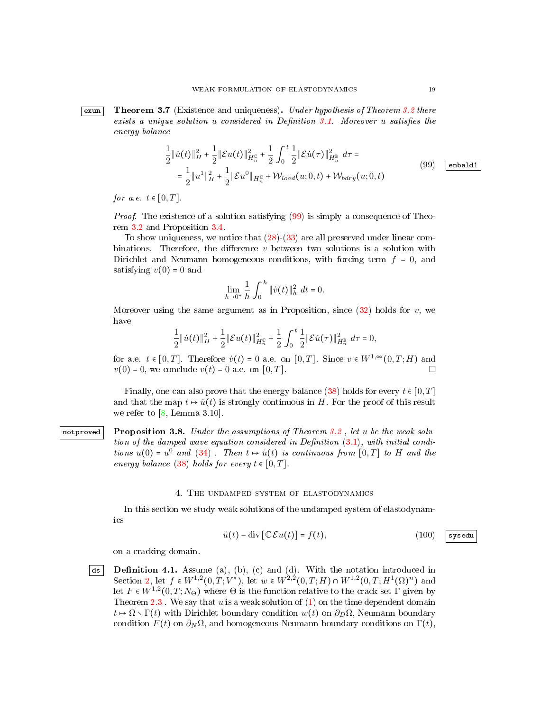<span id="page-18-1"></span>**Exun** Theorem 3.7 (Existence and uniqueness). Under hypothesis of Theorem [3.2](#page-10-0) there exists a unique solution  $u$  considered in Definition [3.1.](#page-9-3) Moreover  $u$  satisfies the energy balance

$$
\frac{1}{2} \|\dot{u}(t)\|_{H}^{2} + \frac{1}{2} \|\mathcal{E}u(t)\|_{H_{n}^{c}}^{2} + \frac{1}{2} \int_{0}^{t} \frac{1}{2} \|\mathcal{E}\dot{u}(\tau)\|_{H_{n}^{B}}^{2} d\tau =
$$
\n
$$
= \frac{1}{2} \|u^{1}\|_{H}^{2} + \frac{1}{2} \|\mathcal{E}u^{0}\|_{H_{n}^{c}} + \mathcal{W}_{load}(u; 0, t) + \mathcal{W}_{bdry}(u; 0, t)
$$
\n(99)  $\boxed{\text{enbad1}}$ 

<span id="page-18-3"></span>for a.e.  $t \in [0, T]$ .

Proof. The existence of a solution satisfying  $(99)$  is simply a consequence of Theorem [3.2](#page-10-0) and Proposition [3.4.](#page-16-0)

To show uniqueness, we notice that [\(28\)](#page-9-1)-[\(33\)](#page-9-4) are all preserved under linear combinations. Therefore, the difference  $v$  between two solutions is a solution with Dirichlet and Neumann homogeneous conditions, with forcing term  $f = 0$ , and satisfying  $v(0) = 0$  and

$$
\lim_{h \to 0^+} \frac{1}{h} \int_0^h \| \dot{v}(t) \|_h^2 \ dt = 0.
$$

Moreover using the same argument as in Proposition, since  $(32)$  holds for v, we have

$$
\frac{1}{2} \|\dot{u}(t)\|_H^2 + \frac{1}{2} \|\mathcal{E}u(t)\|_{H_n^{\mathbb{C}}}^2 + \frac{1}{2} \int_0^t \frac{1}{2} \|\mathcal{E}\dot{u}(\tau)\|_{H_n^{\mathbb{B}}}^2 \ d\tau = 0,
$$

for a.e.  $t \in [0, T]$ . Therefore  $\dot{v}(t) = 0$  a.e. on  $[0, T]$ . Since  $v \in W^{1, \infty}(0, T; H)$  and  $v(0) = 0$ , we conclude  $v(t) = 0$  a.e. on  $[0, T]$ .

<span id="page-18-0"></span>Finally, one can also prove that the energy balance [\(38\)](#page-10-1) holds for every  $t \in [0, T]$ and that the map  $t \mapsto \dot{u}(t)$  is strongly continuous in H. For the proof of this result we refer to  $[8, \text{ Lemma } 3.10].$  $[8, \text{ Lemma } 3.10].$ 

notproved Proposition 3.8. Under the assumptions of Theorem [3.2](#page-10-0), let u be the weak solution of the damped wave equation considered in Definition  $(3.1)$ , with initial conditions  $u(0) = u^0$  and  $(34)$ . Then  $t \mapsto \dot{u}(t)$  is continuous from  $[0,T]$  to H and the energy balance [\(38\)](#page-10-1) holds for every  $t \in [0, T]$ .

## 4. The undamped system of elastodynamics

In this section we study weak solutions of the undamped system of elastodynamics

$$
\ddot{u}(t) - \text{div}\left[\mathbb{C}\mathcal{E}u(t)\right] = f(t),\tag{100}
$$

<span id="page-18-2"></span>on a cracking domain.

 $\boxed{\mathsf{ds}}$  Definition 4.1. Assume (a), (b), (c) and (d). With the notation introduced in Section [2,](#page-3-2) let  $f \in W^{1,2}(0,T;V^*)$ , let  $w \in W^{2,2}(0,T;H) \cap W^{1,2}(0,T;H^1(\Omega)^n)$  and let  $F \in W^{1,2}(0,T;N_\Theta)$  where  $\Theta$  is the function relative to the crack set  $\Gamma$  given by Theorem [2.3](#page-4-1). We say that  $u$  is a weak solution of  $(1)$  on the time dependent domain  $t \mapsto \Omega \setminus \Gamma(t)$  with Dirichlet boundary condition  $w(t)$  on  $\partial_D \Omega$ , Neumann boundary condition  $F(t)$  on  $\partial_N \Omega$ , and homogeneous Neumann boundary conditions on  $\Gamma(t)$ ,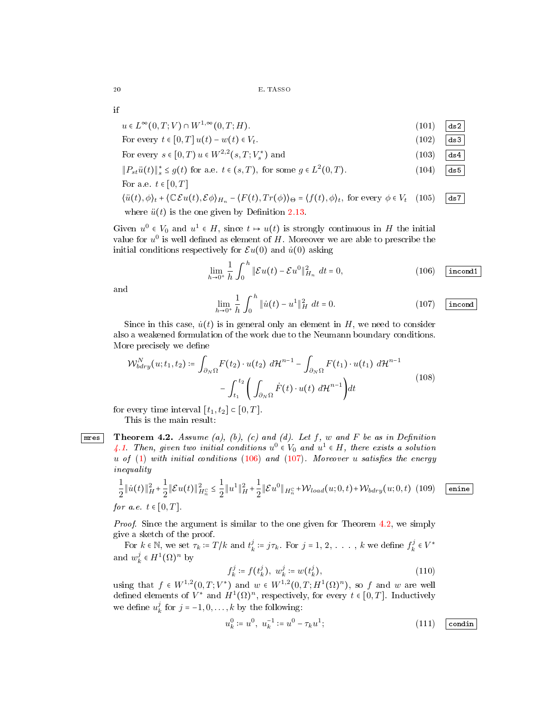if

| $u \in L^{\infty}(0,T;V) \cap W^{1,\infty}(0,T;H).$                                                                                                                                                                     | (101) | ds2 |
|-------------------------------------------------------------------------------------------------------------------------------------------------------------------------------------------------------------------------|-------|-----|
| For every $t \in [0, T]$ $u(t) - w(t) \in V_t$ .                                                                                                                                                                        | (102) | ds3 |
| For every $s \in [0, T]$ $u \in W^{2,2}(s, T; V^*)$ and                                                                                                                                                                 | (103) | ds4 |
| $  P_{st}\ddot{u}(t)  _{\infty}^{*} \leq g(t)$ for a.e. $t \in (s, T)$ , for some $g \in L^{2}(0, T)$ .                                                                                                                 | (104) | ds5 |
| For a.e. $t \in [0, T]$                                                                                                                                                                                                 |       |     |
| $\langle \ddot{u}(t), \phi \rangle_t + \langle \mathbb{C}\mathcal{E}u(t), \mathcal{E}\phi \rangle_{H_n} - \langle F(t), Tr(\phi) \rangle_{\Theta} = \langle f(t), \phi \rangle_t$ , for every $\phi \in V_t$ (105)  ds7 |       |     |
| where $\ddot{u}(t)$ is the one given by Definition 2.13.                                                                                                                                                                |       |     |

Given  $u^0 \in V_0$  and  $u^1 \in H$ , since  $t \mapsto u(t)$  is strongly continuous in H the initial value for  $u^0$  is well defined as element of H. Moreover we are able to prescribe the initial conditions respectively for  $\mathcal{E}u(0)$  and  $\dot{u}(0)$  asking

<span id="page-19-1"></span>
$$
\lim_{h \to 0^+} \frac{1}{h} \int_0^h \|\mathcal{E}u(t) - \mathcal{E}u^0\|_{H_n}^2 \ dt = 0, \tag{106} \quad \boxed{\text{incond1}}
$$

and

<span id="page-19-2"></span>
$$
\lim_{h \to 0^+} \frac{1}{h} \int_0^h \|\dot{u}(t) - u^1\|_H^2 \ dt = 0.
$$
 (107) incond

Since in this case,  $\dot{u}(t)$  is in general only an element in H, we need to consider also a weakened formulation of the work due to the Neumann boundary conditions. More precisely we define

$$
\mathcal{W}_{bdry}^{N}(u;t_1,t_2) \coloneqq \int_{\partial_N \Omega} F(t_2) \cdot u(t_2) \ d\mathcal{H}^{n-1} - \int_{\partial_N \Omega} F(t_1) \cdot u(t_1) \ d\mathcal{H}^{n-1} - \int_{t_1}^{t_2} \left( \int_{\partial_N \Omega} \dot{F}(t) \cdot u(t) \ d\mathcal{H}^{n-1} \right) dt \tag{108}
$$

for every time interval  $[t_1, t_2] \subset [0, T]$ .

<span id="page-19-0"></span>This is the main result:

**Theorem 4.2.** Assume (a), (b), (c) and (d). Let  $f$ ,  $w$  and  $F$  be as in Definition [4.1.](#page-18-2) Then, given two initial conditions  $u^0 \in V_0$  and  $u^1 \in H$ , there exists a solution u of  $(1)$  with initial conditions  $(106)$  and  $(107)$ . Moreover u satisfies the energy inequality

<span id="page-19-3"></span>
$$
\frac{1}{2} \|\dot{u}(t)\|_{H}^{2} + \frac{1}{2} \|\mathcal{E}u(t)\|_{H_{n}^{c}}^{2} \leq \frac{1}{2} \|u^{1}\|_{H}^{2} + \frac{1}{2} \|\mathcal{E}u^{0}\|_{H_{n}^{c}} + \mathcal{W}_{load}(u; 0, t) + \mathcal{W}_{bdry}(u; 0, t) \quad (109) \quad \text{enine}
$$
\n
$$
\text{for a.e. } t \in [0, T].
$$

Proof. Since the argument is similar to the one given for Theorem [4.2,](#page-19-0) we simply give a sketch of the proof.

For  $k \in \mathbb{N}$ , we set  $\tau_k := T/k$  and  $t_k^j := j\tau_k$ . For  $j = 1, 2, \ldots, k$  we define  $f_k^j \in V^*$ and  $w_k^j \in H^1(\Omega)^n$  by

$$
f_k^j := f(t_k^j), \ w_k^j := w(t_k^j), \tag{110}
$$

using that  $f \in W^{1,2}(0,T;V^*)$  and  $w \in W^{1,2}(0,T;H^1(\Omega)^n)$ , so f and w are well defined elements of  $V^*$  and  $H^1(\Omega)^n$ , respectively, for every  $t \in [0,T]$ . Inductively we define  $u_k^j$  for  $j = -1, 0, ..., k$  by the following:

$$
u_k^0 := u^0, \ u_k^{-1} := u^0 - \tau_k u^1; \tag{111} \quad \boxed{\text{condin}}
$$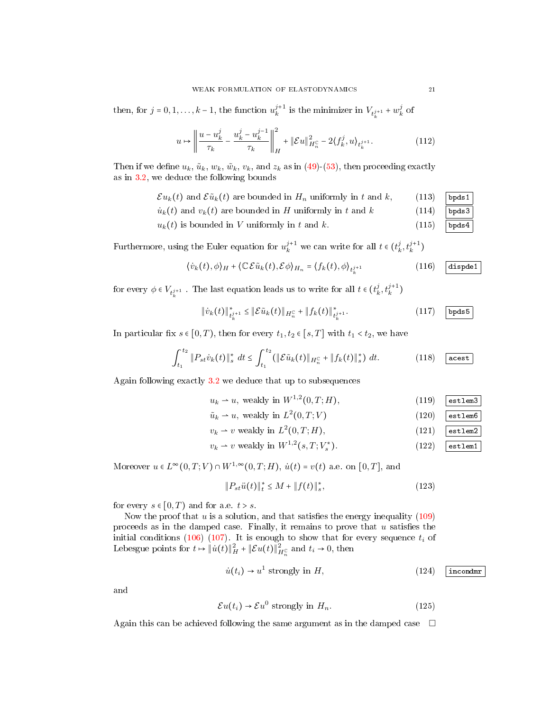then, for  $j = 0, 1, ..., k - 1$ , the function  $u_k^{j+1}$  is the minimizer in  $V_{t_k^{j+1}} + w_k^j$  of

$$
u \mapsto \left\| \frac{u - u_k^j}{\tau_k} - \frac{u_k^j - u_k^{j-1}}{\tau_k} \right\|_{H}^2 + \|\mathcal{E}u\|_{H_n^{\mathbb{C}}}^2 - 2\langle f_k^j, u \rangle_{t_k^{j+1}}.\tag{112}
$$

Then if we define  $u_k$ ,  $\tilde{u}_k$ ,  $w_k$ ,  $\tilde{w}_k$ ,  $v_k$ , and  $z_k$  as in [\(49\)](#page-12-2)-[\(53\)](#page-12-4), then proceeding exactly as in [3.2,](#page-10-0) we deduce the following bounds

- $\mathcal{E} u_k(t)$  and  $\mathcal{E} \tilde{u}_k(t)$  are bounded in  $H_n$  uniformly in t and k, (113) bpds1
- $\dot{u}_k(t)$  and  $v_k(t)$  are bounded in H uniformly in t and k (114) bpds3
- $u_k(t)$  is bounded in V uniformly in t and k. (115) bpds4

Furthermore, using the Euler equation for  $u_k^{j+1}$  we can write for all  $t \in (t_k^j, t_k^{j+1})$ 

$$
\langle \dot{v}_k(t), \phi \rangle_H + \langle \mathbb{C} \mathcal{E} \tilde{u}_k(t), \mathcal{E} \phi \rangle_{H_n} = \langle f_k(t), \phi \rangle_{t_k^{j+1}} \tag{116}
$$

for every  $\phi \in V_{t_k^{j+1}}$  . The last equation leads us to write for all  $t \in (t_k^j, t_k^{j+1})$ 

$$
\|\dot{v}_k(t)\|_{\dot{t}^{j+1}_k}^* \le \|\mathcal{E}\tilde{u}_k(t)\|_{H_n^{\mathbb{C}}} + \|f_k(t)\|_{\dot{t}^{j+1}_k}^*.
$$
 (117)  $\boxed{\text{bpds5}}$ 

In particular fix  $s \in [0, T)$ , then for every  $t_1, t_2 \in [s, T]$  with  $t_1 < t_2$ , we have

$$
\int_{t_1}^{t_2} \|P_{st}\dot{v}_k(t)\|_{s}^{*} \ dt \leq \int_{t_1}^{t_2} (\|\mathcal{E}\tilde{u}_k(t)\|_{H_n^{\mathbb{C}}} + \|f_k(t)\|_{s}^{*}) \ dt. \tag{118}
$$

Again following exactly [3.2](#page-10-0) we deduce that up to subsequences

$$
u_k \rightharpoonup u, \text{ weakly in } W^{1,2}(0,T;H), \tag{119}
$$

$$
\tilde{u}_k \rightharpoonup u, \text{ weakly in } L^2(0, T; V) \tag{120}
$$

$$
v_k \rightharpoonup v \text{ weakly in } L^2(0, T; H), \tag{121} \quad \text{estlem2}
$$

$$
v_k \rightharpoonup v \text{ weakly in } W^{1,2}(s,T;V_s^*). \tag{122}
$$

Moreover  $u \in L^{\infty}(0,T; V) \cap W^{1,\infty}(0,T; H)$ ,  $\dot{u}(t) = v(t)$  a.e. on  $[0,T]$ , and

<span id="page-20-0"></span>
$$
||P_{st}\ddot{u}(t)||_{t}^{*} \leq M + ||f(t)||_{s}^{*},
$$
\n(123)

for every  $s \in [0, T)$  and for a.e.  $t > s$ .

Now the proof that  $u$  is a solution, and that satisfies the energy inequality [\(109\)](#page-19-3) proceeds as in the damped case. Finally, it remains to prove that  $u$  satisfies the initial conditions [\(106\)](#page-19-1) [\(107\)](#page-19-2). It is enough to show that for every sequence  $t_i$  of Lebesgue points for  $t \mapsto \|\dot{u}(t)\|_H^2 + \|\mathcal{E}u(t)\|_{H_n^C}^2$  and  $t_i \to 0$ , then

$$
\dot{u}(t_i) \to u^1 \text{ strongly in } H,
$$
\n(124)  $\boxed{\text{incondmr}}$ 

and

$$
\mathcal{E}u(t_i) \to \mathcal{E}u^0 \text{ strongly in } H_n. \tag{125}
$$

Again this can be achieved following the same argument as in the damped case  $\Box$